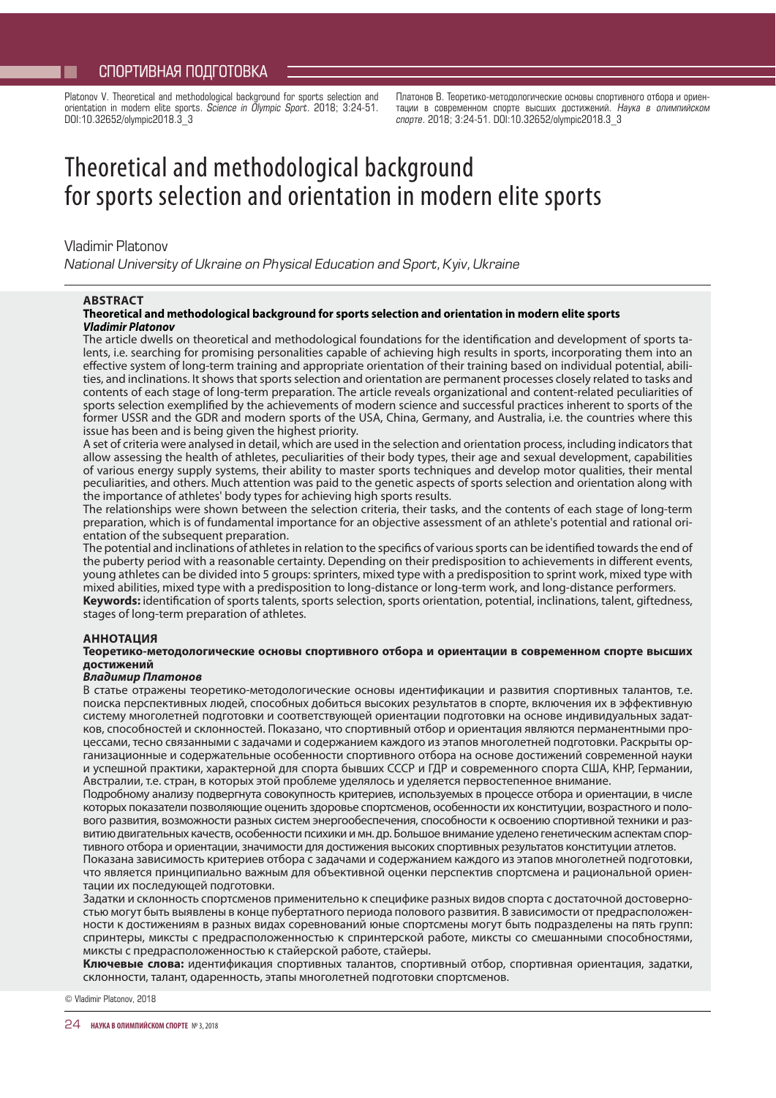Platonov V. Theoretical and methodological background for sports selection and orientation in modern elite sports. *Science in Olympic Sport.* 2018; 3:24-51. DOI:10.32652/olympic2018.3\_3

Платонов В. Теоретико-методологические основы спортивного отбора и ориентации в современном спорте высших достижений. *Наука в олимпийском спорте.* 2018; 3:24-51. DOI:10.32652/olympic2018.3\_3

# Theoretical and methodological background for sports selection and orientation in modern elite sports

Vladimir Platonov

*National University of Ukraine on Physical Education and Sport, Kyiv, Ukraine*

### **ABSTRACT**

### **Theoretical and methodological background for sports selection and orientation in modern elite sports** *Vladimir Platonov*

The article dwells on theoretical and methodological foundations for the identification and development of sports talents, i.e. searching for promising personalities capable of achieving high results in sports, incorporating them into an effective system of long-term training and appropriate orientation of their training based on individual potential, abilities, and inclinations. It shows that sports selection and orientation are permanent processes closely related to tasks and contents of each stage of long-term preparation. The article reveals organizational and content-related peculiarities of sports selection exemplified by the achievements of modern science and successful practices inherent to sports of the former USSR and the GDR and modern sports of the USA, China, Germany, and Australia, i.e. the countries where this issue has been and is being given the highest priority.

A set of criteria were analysed in detail, which are used in the selection and orientation process, including indicators that allow assessing the health of athletes, peculiarities of their body types, their age and sexual development, capabilities of various energy supply systems, their ability to master sports techniques and develop motor qualities, their mental peculiarities, and others. Much attention was paid to the genetic aspects of sports selection and orientation along with the importance of athletes' body types for achieving high sports results.

The relationships were shown between the selection criteria, their tasks, and the contents of each stage of long-term preparation, which is of fundamental importance for an objective assessment of an athlete's potential and rational orientation of the subsequent preparation.

The potential and inclinations of athletes in relation to the specifics of various sports can be identified towards the end of the puberty period with a reasonable certainty. Depending on their predisposition to achievements in different events, young athletes can be divided into 5 groups: sprinters, mixed type with a predisposition to sprint work, mixed type with mixed abilities, mixed type with a predisposition to long-distance or long-term work, and long-distance performers. Keywords: identification of sports talents, sports selection, sports orientation, potential, inclinations, talent, giftedness, stages of long-term preparation of athletes.

### **АННОТАЦИЯ**

#### **Теоретико-методологические основы спортивного отбора и ориентации в современном спорте высших достижений**

## *Владимир Платонов*

В статье отражены теоретико-методологические основы идентификации и развития спортивных талантов, т.е. поиска перспективных людей, способных добиться высоких результатов в спорте, включения их в эффективную систему многолетней подготовки и соответствующей ориентации подготовки на основе индивидуальных задатков, способностей и склонностей. Показано, что спортивный отбор и ориентация являются перманентными процессами, тесно связанными с задачами и содержанием каждого из этапов многолетней подготовки. Раскрыты организационные и содержательные особенности спортивного отбора на основе достижений современной науки и успешной практики, характерной для спорта бывших СССР и ГДР и современного спорта США, КНР, Германии, Австралии, т.е. стран, в которых этой проблеме уделялось и уделяется первостепенное внимание.

Подробному анализу подвергнута совокупность критериев, используемых в процессе отбора и ориентации, в числе которых показатели позволяющие оценить здоровье спортсменов, особенности их конституции, возрастного и полового развития, возможности разных систем энергообеспечения, способности к освоению спортивной техники и развитию двигательных качеств, особенности психики и мн. др. Большое внимание уделено генетическим аспектам спортивного отбора и ориентации, значимости для достижения высоких спортивных результатов конституции атлетов.

Показана зависимость критериев отбора с задачами и содержанием каждого из этапов многолетней подготовки, что является принципиально важным для объективной оценки перспектив спортсмена и рациональной ориентации их последующей подготовки.

Задатки и склонность спортсменов применительно к специфике разных видов спорта с достаточной достоверностью могут быть выявлены в конце пубертатного периода полового развития. В зависимости от предрасположенности к достижениям в разных видах соревнований юные спортсмены могут быть подразделены на пять групп: спринтеры, миксты с предрасположенностью к спринтерской работе, миксты со смешанными способностями, миксты с предрасположенностью к стайерской работе, стайеры.

**Ключевые слова:** идентификация спортивных талантов, спортивный отбор, спортивная ориентация, задатки, склонности, талант, одаренность, этапы многолетней подготовки спортсменов.

© Vladimir Platonov, 2018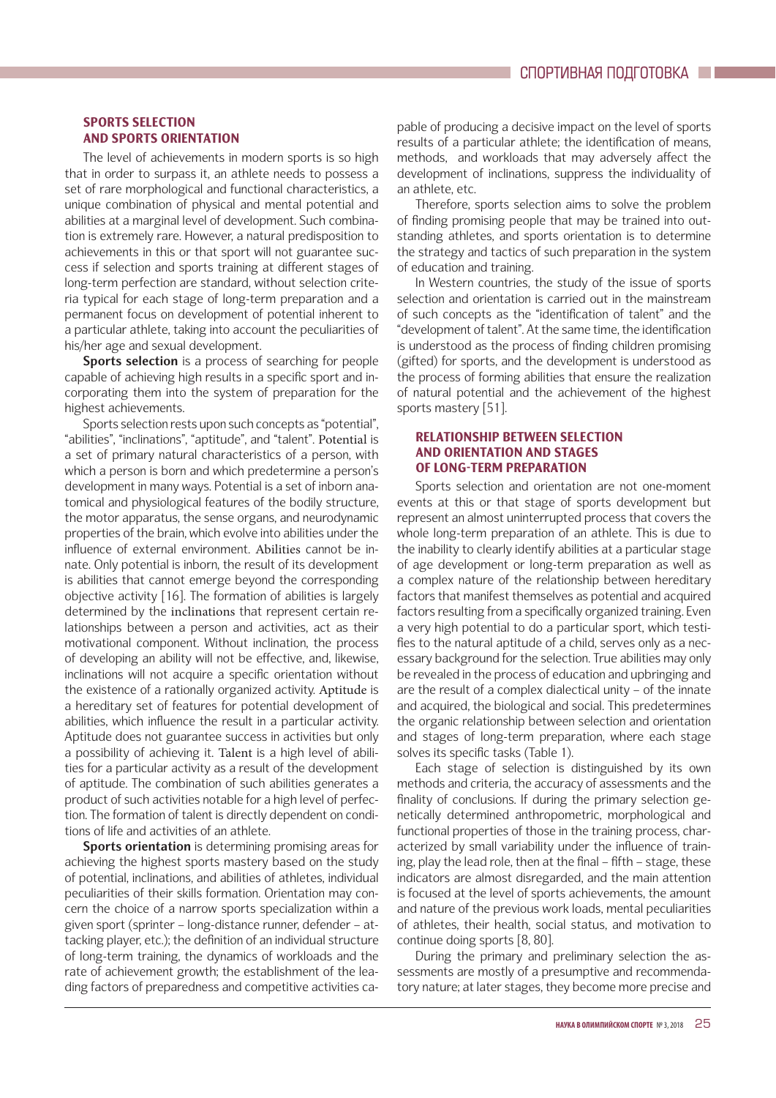## SPORTS SELECTION AND SPORTS ORIENTATION

The level of achievements in modern sports is so high that in order to surpass it, an athlete needs to possess a set of rare morphological and functional characteristics, a unique combination of physical and mental potential and abilities at a marginal level of development. Such combination is extremely rare. However, a natural predisposition to achievements in this or that sport will not guarantee success if selection and sports training at different stages of long-term perfection are standard, without selection criteria typical for each stage of long-term preparation and a permanent focus on development of potential inherent to a particular athlete, taking into account the peculiarities of his/her age and sexual development.

**Sports selection** is a process of searching for people capable of achieving high results in a specific sport and incorporating them into the system of preparation for the highest achievements.

Sports selection rests upon such concepts as "potential", "abilities", "inclinations", "aptitude", and "talent". Potential is a set of primary natural characteristics of a person, with which a person is born and which predetermine a person's development in many ways. Potential is a set of inborn anatomical and physiological features of the bodily structure, the motor apparatus, the sense organs, and neurodynamic properties of the brain, which evolve into abilities under the influence of external environment. Abilities cannot be innate. Only potential is inborn, the result of its development is abilities that cannot emerge beyond the corresponding objective activity [16]. The formation of abilities is largely determined by the inclinations that represent certain relationships between a person and activities, act as their motivational component. Without inclination, the process of developing an ability will not be effective, and, likewise, inclinations will not acquire a specific orientation without the existence of a rationally organized activity. Aptitude is a hereditary set of features for potential development of abilities, which influence the result in a particular activity. Aptitude does not guarantee success in activities but only a possibility of achieving it. Talent is a high level of abilities for a particular activity as a result of the development of aptitude. The combination of such abilities generates a product of such activities notable for a high level of perfection. The formation of talent is directly dependent on conditions of life and activities of an athlete.

**Sports orientation** is determining promising areas for achieving the highest sports mastery based on the study of potential, inclinations, and abilities of athletes, individual peculiarities of their skills formation. Orientation may concern the choice of a narrow sports specialization within a given sport (sprinter – long-distance runner, defender – attacking player, etc.); the definition of an individual structure of long-term training, the dynamics of workloads and the rate of achievement growth; the establishment of the leading factors of preparedness and competitive activities capable of producing a decisive impact on the level of sports results of a particular athlete; the identification of means, methods, and workloads that may adversely affect the development of inclinations, suppress the individuality of an athlete, etc.

Therefore, sports selection aims to solve the problem of finding promising people that may be trained into outstanding athletes, and sports orientation is to determine the strategy and tactics of such preparation in the system of education and training.

In Western countries, the study of the issue of sports selection and orientation is carried out in the mainstream of such concepts as the "identification of talent" and the "development of talent". At the same time, the identification is understood as the process of finding children promising (gifted) for sports, and the development is understood as the process of forming abilities that ensure the realization of natural potential and the achievement of the highest sports mastery [51].

## RELATIONSHIP BETWEEN SELECTION AND ORIENTATION AND STAGES OF LONG-TERM PREPARATION

Sports selection and orientation are not one-moment events at this or that stage of sports development but represent an almost uninterrupted process that covers the whole long-term preparation of an athlete. This is due to the inability to clearly identify abilities at a particular stage of age development or long-term preparation as well as a complex nature of the relationship between hereditary factors that manifest themselves as potential and acquired factors resulting from a specifically organized training. Even a very high potential to do a particular sport, which testifies to the natural aptitude of a child, serves only as a necessary background for the selection. True abilities may only be revealed in the process of education and upbringing and are the result of a complex dialectical unity – of the innate and acquired, the biological and social. This predetermines the organic relationship between selection and orientation and stages of long-term preparation, where each stage solves its specific tasks (Table 1).

Each stage of selection is distinguished by its own methods and criteria, the accuracy of assessments and the finality of conclusions. If during the primary selection genetically determined anthropometric, morphological and functional properties of those in the training process, characterized by small variability under the influence of training, play the lead role, then at the final  $-$  fifth  $-$  stage, these indicators are almost disregarded, and the main attention is focused at the level of sports achievements, the amount and nature of the previous work loads, mental peculiarities of athletes, their health, social status, and motivation to continue doing sports [8, 80].

During the primary and preliminary selection the assessments are mostly of a presumptive and recommendatory nature; at later stages, they become more precise and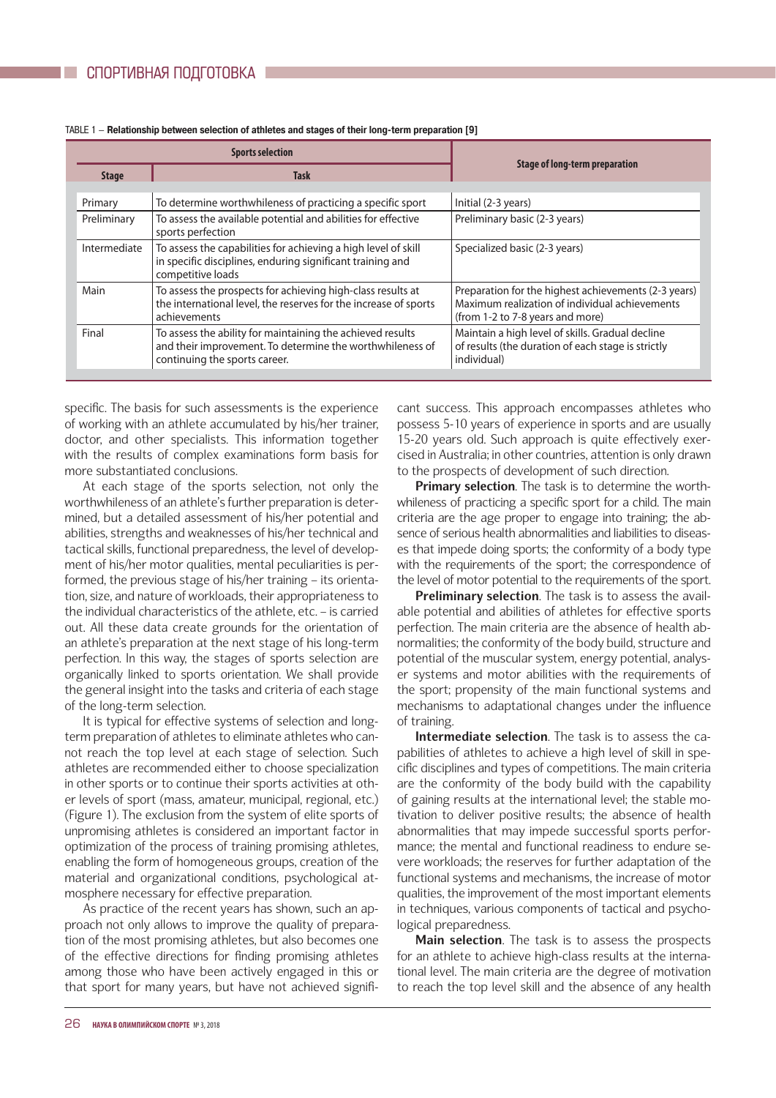|                             | <b>Sports selection</b>                                                                                                                                  |                                                                                                                                            |  |  |
|-----------------------------|----------------------------------------------------------------------------------------------------------------------------------------------------------|--------------------------------------------------------------------------------------------------------------------------------------------|--|--|
| <b>Task</b><br><b>Stage</b> |                                                                                                                                                          | <b>Stage of long-term preparation</b>                                                                                                      |  |  |
|                             |                                                                                                                                                          |                                                                                                                                            |  |  |
| Primary                     | To determine worthwhileness of practicing a specific sport                                                                                               | Initial (2-3 years)                                                                                                                        |  |  |
| Preliminary                 | To assess the available potential and abilities for effective<br>sports perfection                                                                       | Preliminary basic (2-3 years)                                                                                                              |  |  |
| Intermediate                | To assess the capabilities for achieving a high level of skill<br>in specific disciplines, enduring significant training and<br>competitive loads        | Specialized basic (2-3 years)                                                                                                              |  |  |
| Main                        | To assess the prospects for achieving high-class results at<br>the international level, the reserves for the increase of sports<br>achievements          | Preparation for the highest achievements (2-3 years)<br>Maximum realization of individual achievements<br>(from 1-2 to 7-8 years and more) |  |  |
| Final                       | To assess the ability for maintaining the achieved results<br>and their improvement. To determine the worthwhileness of<br>continuing the sports career. | Maintain a high level of skills. Gradual decline<br>of results (the duration of each stage is strictly<br>individual)                      |  |  |

#### TABLE 1 – **Relationship between selection of athletes and stages of their long-term preparation [9]**

specific. The basis for such assessments is the experience of working with an athlete accumulated by his/her trainer, doctor, and other specialists. This information together with the results of complex examinations form basis for more substantiated conclusions.

At each stage of the sports selection, not only the worthwhileness of an athlete's further preparation is determined, but a detailed assessment of his/her potential and abilities, strengths and weaknesses of his/her technical and tactical skills, functional preparedness, the level of development of his/her motor qualities, mental peculiarities is performed, the previous stage of his/her training – its orientation, size, and nature of workloads, their appropriateness to the individual characteristics of the athlete, etc. – is carried out. All these data create grounds for the orientation of an athlete's preparation at the next stage of his long-term perfection. In this way, the stages of sports selection are organically linked to sports orientation. We shall provide the general insight into the tasks and criteria of each stage of the long-term selection.

It is typical for effective systems of selection and longterm preparation of athletes to eliminate athletes who cannot reach the top level at each stage of selection. Such athletes are recommended either to choose specialization in other sports or to continue their sports activities at other levels of sport (mass, amateur, municipal, regional, etc.) (Figure 1). The exclusion from the system of elite sports of unpromising athletes is considered an important factor in optimization of the process of training promising athletes, enabling the form of homogeneous groups, creation of the material and organizational conditions, psychological atmosphere necessary for effective preparation.

As practice of the recent years has shown, such an approach not only allows to improve the quality of preparation of the most promising athletes, but also becomes one of the effective directions for finding promising athletes among those who have been actively engaged in this or that sport for many years, but have not achieved significant success. This approach encompasses athletes who possess 5-10 years of experience in sports and are usually 15-20 years old. Such approach is quite effectively exercised in Australia; in other countries, attention is only drawn to the prospects of development of such direction.

**Primary selection**. The task is to determine the worthwhileness of practicing a specific sport for a child. The main criteria are the age proper to engage into training; the absence of serious health abnormalities and liabilities to diseases that impede doing sports; the conformity of a body type with the requirements of the sport; the correspondence of the level of motor potential to the requirements of the sport.

**Preliminary selection**. The task is to assess the available potential and abilities of athletes for effective sports perfection. The main criteria are the absence of health abnormalities; the conformity of the body build, structure and potential of the muscular system, energy potential, analyser systems and motor abilities with the requirements of the sport; propensity of the main functional systems and mechanisms to adaptational changes under the influence of training.

**Intermediate selection**. The task is to assess the capabilities of athletes to achieve a high level of skill in specific disciplines and types of competitions. The main criteria are the conformity of the body build with the capability of gaining results at the international level; the stable motivation to deliver positive results; the absence of health abnormalities that may impede successful sports performance; the mental and functional readiness to endure severe workloads; the reserves for further adaptation of the functional systems and mechanisms, the increase of motor qualities, the improvement of the most important elements in techniques, various components of tactical and psychological preparedness.

**Main selection**. The task is to assess the prospects for an athlete to achieve high-class results at the international level. The main criteria are the degree of motivation to reach the top level skill and the absence of any health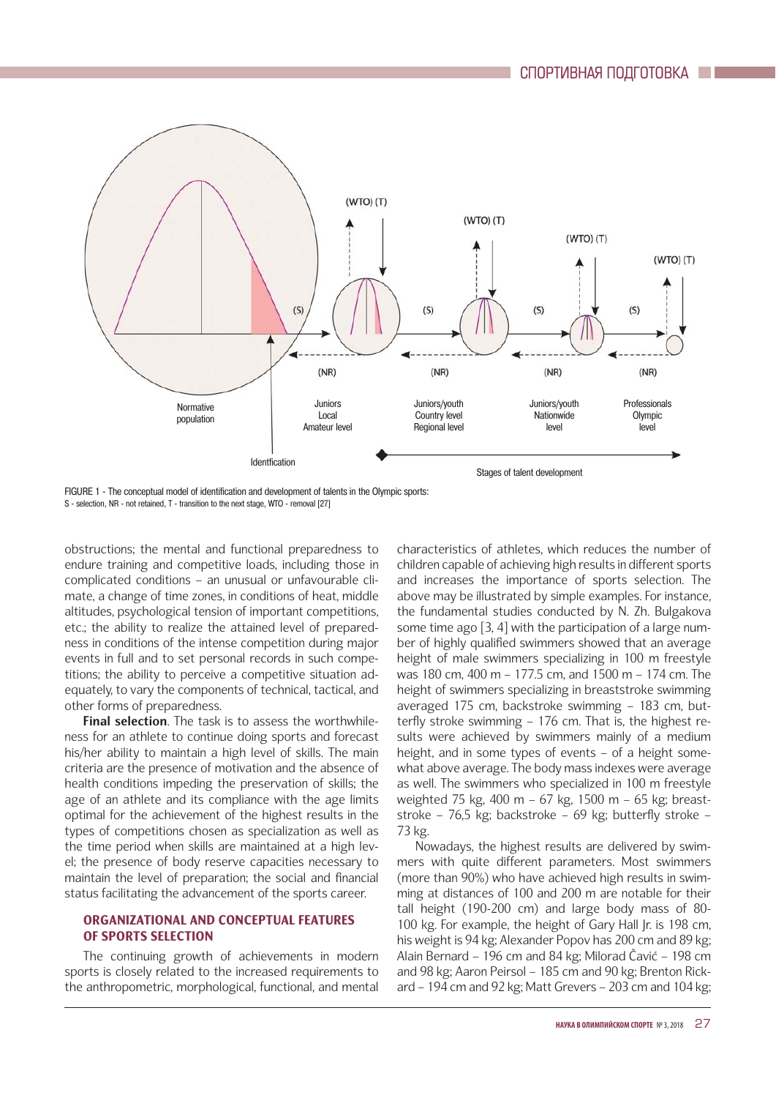

FIGURE 1 - The conceptual model of identification and development of talents in the Olympic sports: S - selection, NR - not retained, T - transition to the next stage, WTO - removal [27]

obstructions; the mental and functional preparedness to endure training and competitive loads, including those in complicated conditions – an unusual or unfavourable climate, a change of time zones, in conditions of heat, middle altitudes, psychological tension of important competitions, etc.; the ability to realize the attained level of preparedness in conditions of the intense competition during major events in full and to set personal records in such competitions; the ability to perceive a competitive situation adequately, to vary the components of technical, tactical, and other forms of preparedness.

**Final selection**. The task is to assess the worthwhileness for an athlete to continue doing sports and forecast his/her ability to maintain a high level of skills. The main criteria are the presence of motivation and the absence of health conditions impeding the preservation of skills; the age of an athlete and its compliance with the age limits optimal for the achievement of the highest results in the types of competitions chosen as specialization as well as the time period when skills are maintained at a high level; the presence of body reserve capacities necessary to maintain the level of preparation; the social and financial status facilitating the advancement of the sports career.

## ORGANIZATIONAL AND CONCEPTUAL FEATURES OF SPORTS SELECTION

The continuing growth of achievements in modern sports is closely related to the increased requirements to the anthropometric, morphological, functional, and mental

characteristics of athletes, which reduces the number of children capable of achieving high results in different sports and increases the importance of sports selection. The above may be illustrated by simple examples. For instance, the fundamental studies conducted by N. Zh. Bulgakova some time ago [3, 4] with the participation of a large number of highly qualified swimmers showed that an average height of male swimmers specializing in 100 m freestyle was 180 cm, 400 m – 177.5 cm, and 1500 m – 174 cm. The height of swimmers specializing in breaststroke swimming averaged 175 cm, backstroke swimming – 183 cm, butterfly stroke swimming  $-176$  cm. That is, the highest results were achieved by swimmers mainly of a medium height, and in some types of events – of a height somewhat above average. The body mass indexes were average as well. The swimmers who specialized in 100 m freestyle weighted 75 kg, 400 m – 67 kg, 1500 m – 65 kg; breaststroke – 76,5 kg; backstroke – 69 kg; butterfly stroke – 73 kg.

Nowadays, the highest results are delivered by swimmers with quite different parameters. Most swimmers (more than 90%) who have achieved high results in swimming at distances of 100 and 200 m are notable for their tall height (190-200 cm) and large body mass of 80- 100 kg. For example, the height of Gary Hall Jr. is 198 cm, his weight is 94 kg; Alexander Popov has 200 cm and 89 kg; Alain Bernard – 196 cm and 84 kg; Milorad Čavić – 198 cm and 98 kg; Aaron Peirsol – 185 cm and 90 kg; Brenton Rickard – 194 cm and 92 kg; Matt Grevers – 203 cm and 104 kg;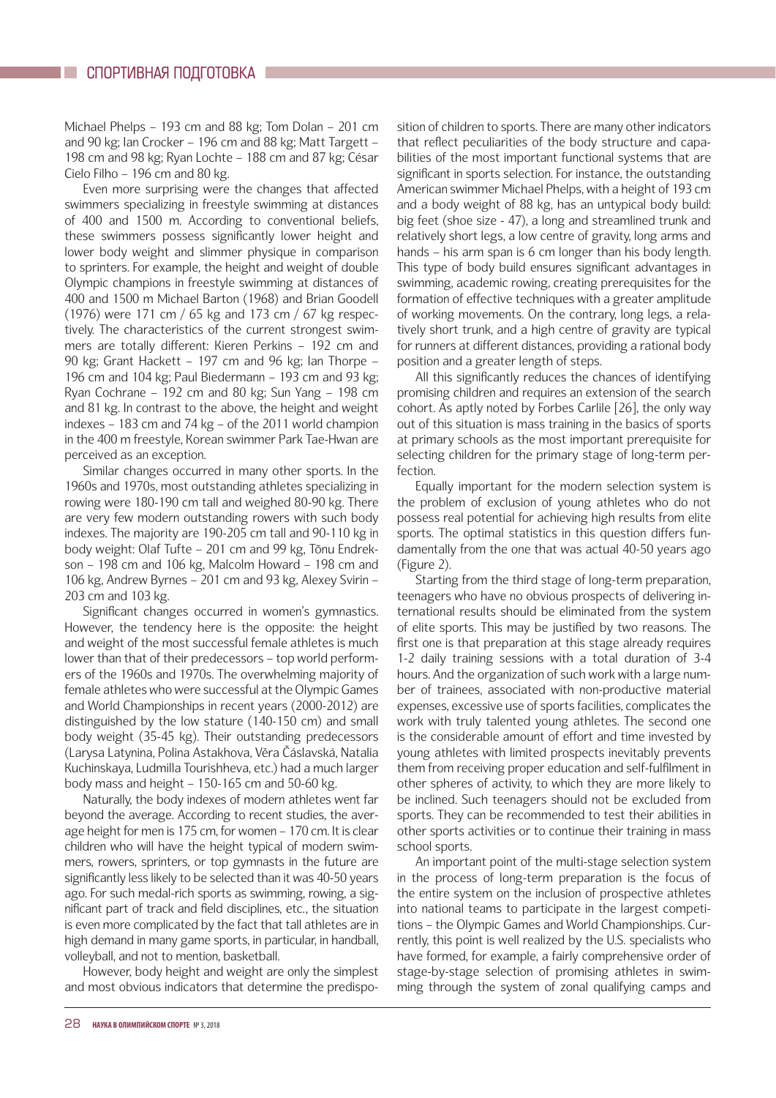Michael Phelps – 193 cm and 88 kg; Tom Dolan – 201 cm and 90 kg; Ian Crocker – 196 cm and 88 kg; Matt Targett – 198 cm and 98 kg; Ryan Lochte – 188 cm and 87 kg; César Cielo Filho – 196 cm and 80 kg.

Even more surprising were the changes that affected swimmers specializing in freestyle swimming at distances of 400 and 1500 m. According to conventional beliefs, these swimmers possess significantly lower height and lower body weight and slimmer physique in comparison to sprinters. For example, the height and weight of double Olympic champions in freestyle swimming at distances of 400 and 1500 m Michael Barton (1968) and Brian Goodell (1976) were 171 cm / 65 kg and 173 cm / 67 kg respectively. The characteristics of the current strongest swimmers are totally different: Kieren Perkins – 192 cm and 90 kg; Grant Hackett – 197 cm and 96 kg; Ian Thorpe – 196 cm and 104 kg; Paul Biedermann – 193 cm and 93 kg; Ryan Cochrane – 192 cm and 80 kg; Sun Yang – 198 cm and 81 kg. In contrast to the above, the height and weight indexes – 183 cm and 74 kg – of the 2011 world champion in the 400 m freestyle, Korean swimmer Park Tae-Hwan are perceived as an exception.

Similar changes occurred in many other sports. In the 1960s and 1970s, most outstanding athletes specializing in rowing were 180-190 cm tall and weighed 80-90 kg. There are very few modern outstanding rowers with such body indexes. The majority are 190-205 cm tall and 90-110 kg in body weight: Olaf Tufte – 201 cm and 99 kg, Tõnu Endrekson – 198 cm and 106 kg, Malcolm Howard – 198 cm and 106 kg, Andrew Byrnes – 201 cm and 93 kg, Alexey Svirin – 203 cm and 103 kg.

Significant changes occurred in women's gymnastics. However, the tendency here is the opposite: the height and weight of the most successful female athletes is much lower than that of their predecessors – top world performers of the 1960s and 1970s. The overwhelming majority of female athletes who were successful at the Olympic Games and World Championships in recent years (2000-2012) are distinguished by the low stature (140-150 cm) and small body weight (35-45 kg). Their outstanding predecessors (Larysa Latynina, Polina Astakhova, Věra Čáslavská, Natalia Kuchinskaya, Ludmilla Tourishheva, etc.) had a much larger body mass and height – 150-165 cm and 50-60 kg.

Naturally, the body indexes of modern athletes went far beyond the average. According to recent studies, the average height for men is 175 cm, for women – 170 cm. It is clear children who will have the height typical of modern swimmers, rowers, sprinters, or top gymnasts in the future are significantly less likely to be selected than it was 40-50 years ago. For such medal-rich sports as swimming, rowing, a significant part of track and field disciplines, etc., the situation is even more complicated by the fact that tall athletes are in high demand in many game sports, in particular, in handball, volleyball, and not to mention, basketball.

However, body height and weight are only the simplest and most obvious indicators that determine the predisposition of children to sports. There are many other indicators that reflect peculiarities of the body structure and capabilities of the most important functional systems that are significant in sports selection. For instance, the outstanding American swimmer Michael Phelps, with a height of 193 cm and a body weight of 88 kg, has an untypical body build: big feet (shoe size - 47), a long and streamlined trunk and relatively short legs, a low centre of gravity, long arms and hands – his arm span is 6 cm longer than his body length. This type of body build ensures significant advantages in swimming, academic rowing, creating prerequisites for the formation of effective techniques with a greater amplitude of working movements. On the contrary, long legs, a relatively short trunk, and a high centre of gravity are typical for runners at different distances, providing a rational body position and a greater length of steps.

All this significantly reduces the chances of identifying promising children and requires an extension of the search cohort. As aptly noted by Forbes Carlile [26], the only way out of this situation is mass training in the basics of sports at primary schools as the most important prerequisite for selecting children for the primary stage of long-term perfection.

Equally important for the modern selection system is the problem of exclusion of young athletes who do not possess real potential for achieving high results from elite sports. The optimal statistics in this question differs fundamentally from the one that was actual 40-50 years ago (Figure 2).

Starting from the third stage of long-term preparation, teenagers who have no obvious prospects of delivering international results should be eliminated from the system of elite sports. This may be justified by two reasons. The first one is that preparation at this stage already requires 1-2 daily training sessions with a total duration of 3-4 hours. And the organization of such work with a large number of trainees, associated with non-productive material expenses, excessive use of sports facilities, complicates the work with truly talented young athletes. The second one is the considerable amount of effort and time invested by young athletes with limited prospects inevitably prevents them from receiving proper education and self-fulfilment in other spheres of activity, to which they are more likely to be inclined. Such teenagers should not be excluded from sports. They can be recommended to test their abilities in other sports activities or to continue their training in mass school sports.

An important point of the multi-stage selection system in the process of long-term preparation is the focus of the entire system on the inclusion of prospective athletes into national teams to participate in the largest competitions – the Olympic Games and World Championships. Currently, this point is well realized by the U.S. specialists who have formed, for example, a fairly comprehensive order of stage-by-stage selection of promising athletes in swimming through the system of zonal qualifying camps and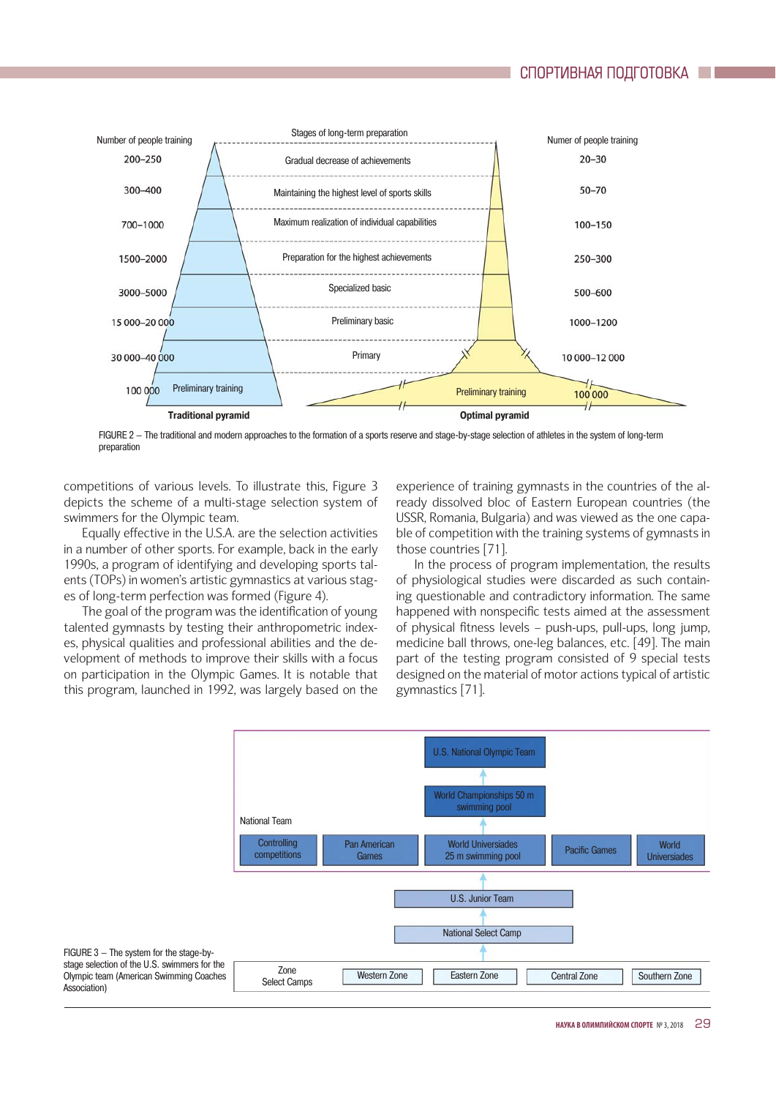

FIGURE 2 – The traditional and modern approaches to the formation of a sports reserve and stage-by-stage selection of athletes in the system of long-term preparation

competitions of various levels. To illustrate this, Figure 3 depicts the scheme of a multi-stage selection system of swimmers for the Olympic team.

Equally effective in the U.S.A. are the selection activities in a number of other sports. For example, back in the early 1990s, a program of identifying and developing sports talents (TOPs) in women's artistic gymnastics at various stages of long-term perfection was formed (Figure 4).

The goal of the program was the identification of young talented gymnasts by testing their anthropometric indexes, physical qualities and professional abilities and the development of methods to improve their skills with a focus on participation in the Olympic Games. It is notable that this program, launched in 1992, was largely based on the

Association)

experience of training gymnasts in the countries of the already dissolved bloc of Eastern European countries (the USSR, Romania, Bulgaria) and was viewed as the one capable of competition with the training systems of gymnasts in those countries [71].

In the process of program implementation, the results of physiological studies were discarded as such containing questionable and contradictory information. The same happened with nonspecific tests aimed at the assessment of physical fitness levels - push-ups, pull-ups, long jump, medicine ball throws, one-leg balances, etc. [49]. The main part of the testing program consisted of 9 special tests designed on the material of motor actions typical of artistic gymnastics [71].

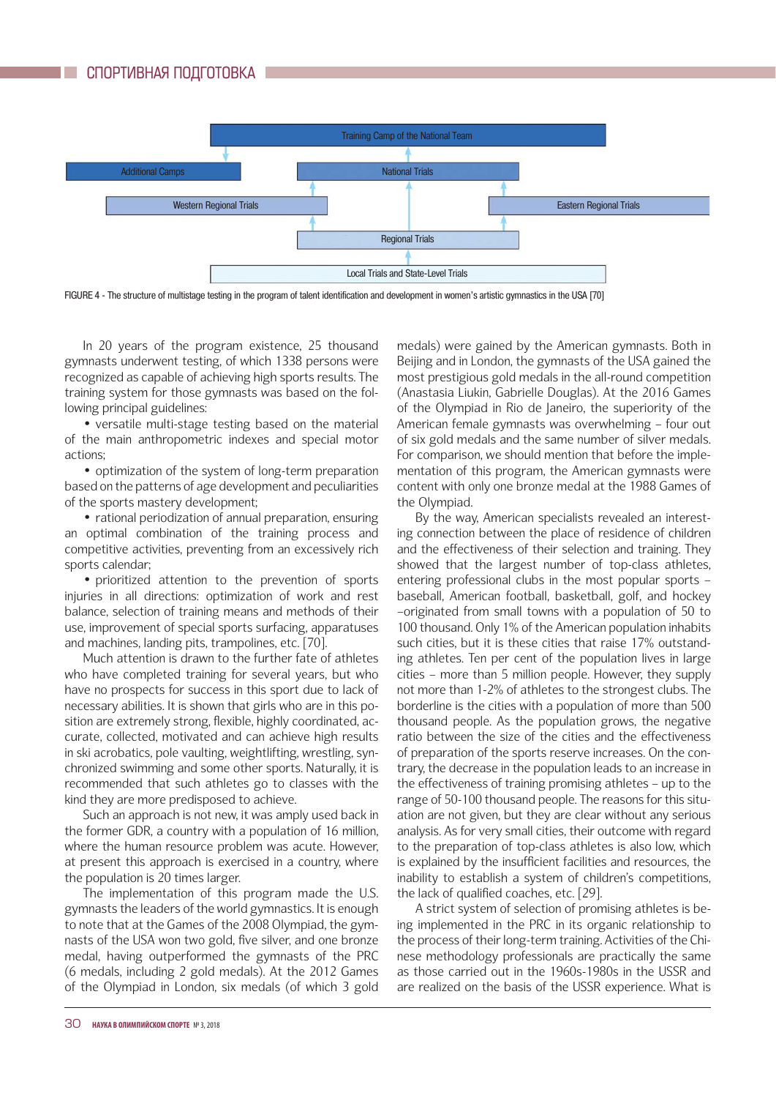

FIGURE 4 - The structure of multistage testing in the program of talent identification and development in women's artistic gymnastics in the USA [70]

In 20 years of the program existence, 25 thousand gymnasts underwent testing, of which 1338 persons were recognized as capable of achieving high sports results. The training system for those gymnasts was based on the following principal guidelines:

• versatile multi-stage testing based on the material of the main anthropometric indexes and special motor actions;

• optimization of the system of long-term preparation based on the patterns of age development and peculiarities of the sports mastery development;

• rational periodization of annual preparation, ensuring an optimal combination of the training process and competitive activities, preventing from an excessively rich sports calendar;

• prioritized attention to the prevention of sports injuries in all directions: optimization of work and rest balance, selection of training means and methods of their use, improvement of special sports surfacing, apparatuses and machines, landing pits, trampolines, etc. [70].

Much attention is drawn to the further fate of athletes who have completed training for several years, but who have no prospects for success in this sport due to lack of necessary abilities. It is shown that girls who are in this position are extremely strong, flexible, highly coordinated, accurate, collected, motivated and can achieve high results in ski acrobatics, pole vaulting, weightlifting, wrestling, synchronized swimming and some other sports. Naturally, it is recommended that such athletes go to classes with the kind they are more predisposed to achieve.

Such an approach is not new, it was amply used back in the former GDR, a country with a population of 16 million, where the human resource problem was acute. However, at present this approach is exercised in a country, where the population is 20 times larger.

The implementation of this program made the U.S. gymnasts the leaders of the world gymnastics. It is enough to note that at the Games of the 2008 Olympiad, the gymnasts of the USA won two gold, five silver, and one bronze medal, having outperformed the gymnasts of the PRC (6 medals, including 2 gold medals). At the 2012 Games of the Olympiad in London, six medals (of which 3 gold medals) were gained by the American gymnasts. Both in Beijing and in London, the gymnasts of the USA gained the most prestigious gold medals in the all-round competition (Anastasia Liukin, Gabrielle Douglas). At the 2016 Games of the Olympiad in Rio de Janeiro, the superiority of the American female gymnasts was overwhelming – four out of six gold medals and the same number of silver medals. For comparison, we should mention that before the implementation of this program, the American gymnasts were content with only one bronze medal at the 1988 Games of the Olympiad.

By the way, American specialists revealed an interesting connection between the place of residence of children and the effectiveness of their selection and training. They showed that the largest number of top-class athletes, entering professional clubs in the most popular sports – baseball, American football, basketball, golf, and hockey –originated from small towns with a population of 50 to 100 thousand. Only 1% of the American population inhabits such cities, but it is these cities that raise 17% outstanding athletes. Ten per cent of the population lives in large cities – more than 5 million people. However, they supply not more than 1-2% of athletes to the strongest clubs. The borderline is the cities with a population of more than 500 thousand people. As the population grows, the negative ratio between the size of the cities and the effectiveness of preparation of the sports reserve increases. On the contrary, the decrease in the population leads to an increase in the effectiveness of training promising athletes – up to the range of 50-100 thousand people. The reasons for this situation are not given, but they are clear without any serious analysis. As for very small cities, their outcome with regard to the preparation of top-class athletes is also low, which is explained by the insufficient facilities and resources, the inability to establish a system of children's competitions, the lack of qualified coaches, etc. [29].

A strict system of selection of promising athletes is being implemented in the PRC in its organic relationship to the process of their long-term training. Activities of the Chinese methodology professionals are practically the same as those carried out in the 1960s-1980s in the USSR and are realized on the basis of the USSR experience. What is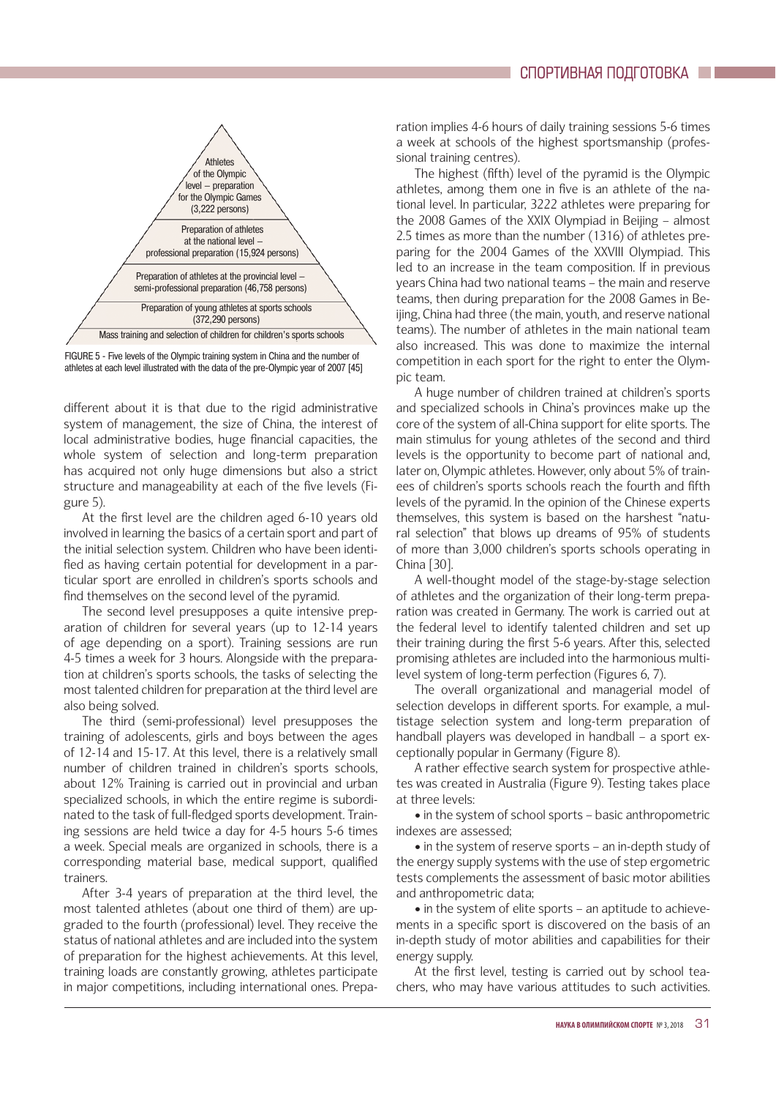

FIGURE 5 - Five levels of the Olympic training system in China and the number of athletes at each level illustrated with the data of the pre-Olympic year of 2007 [45]

different about it is that due to the rigid administrative system of management, the size of China, the interest of local administrative bodies, huge financial capacities, the whole system of selection and long-term preparation has acquired not only huge dimensions but also a strict structure and manageability at each of the five levels (Figure 5).

At the first level are the children aged 6-10 years old involved in learning the basics of a certain sport and part of the initial selection system. Children who have been identified as having certain potential for development in a particular sport are enrolled in children's sports schools and find themselves on the second level of the pyramid.

The second level presupposes a quite intensive preparation of children for several years (up to 12-14 years of age depending on a sport). Training sessions are run 4-5 times a week for 3 hours. Alongside with the preparation at children's sports schools, the tasks of selecting the most talented children for preparation at the third level are also being solved.

The third (semi-professional) level presupposes the training of adolescents, girls and boys between the ages of 12-14 and 15-17. At this level, there is a relatively small number of children trained in children's sports schools, about 12% Training is carried out in provincial and urban specialized schools, in which the entire regime is subordinated to the task of full-fledged sports development. Training sessions are held twice a day for 4-5 hours 5-6 times a week. Special meals are organized in schools, there is a corresponding material base, medical support, qualified trainers.

After 3-4 years of preparation at the third level, the most talented athletes (about one third of them) are upgraded to the fourth (professional) level. They receive the status of national athletes and are included into the system of preparation for the highest achievements. At this level, training loads are constantly growing, athletes participate in major competitions, including international ones. Preparation implies 4-6 hours of daily training sessions 5-6 times a week at schools of the highest sportsmanship (professional training centres).

The highest (fifth) level of the pyramid is the Olympic athletes, among them one in five is an athlete of the national level. In particular, 3222 athletes were preparing for the 2008 Games of the XXIX Olympiad in Beijing – almost 2.5 times as more than the number (1316) of athletes preparing for the 2004 Games of the XXVIII Olympiad. This led to an increase in the team composition. If in previous years China had two national teams – the main and reserve teams, then during preparation for the 2008 Games in Beijing, China had three (the main, youth, and reserve national teams). The number of athletes in the main national team also increased. This was done to maximize the internal competition in each sport for the right to enter the Olympic team.

A huge number of children trained at children's sports and specialized schools in China's provinces make up the core of the system of all-China support for elite sports. The main stimulus for young athletes of the second and third levels is the opportunity to become part of national and, later on, Olympic athletes. However, only about 5% of trainees of children's sports schools reach the fourth and fifth levels of the pyramid. In the opinion of the Chinese experts themselves, this system is based on the harshest "natural selection" that blows up dreams of 95% of students of more than 3,000 children's sports schools operating in China [30].

A well-thought model of the stage-by-stage selection of athletes and the organization of their long-term preparation was created in Germany. The work is carried out at the federal level to identify talented children and set up their training during the first 5-6 years. After this, selected promising athletes are included into the harmonious multilevel system of long-term perfection (Figures 6, 7).

The overall organizational and managerial model of selection develops in different sports. For example, a multistage selection system and long-term preparation of handball players was developed in handball – a sport exceptionally popular in Germany (Figure 8).

A rather effective search system for prospective athletes was created in Australia (Figure 9). Testing takes place at three levels:

• in the system of school sports – basic anthropometric indexes are assessed;

• in the system of reserve sports – an in-depth study of the energy supply systems with the use of step ergometric tests complements the assessment of basic motor abilities and anthropometric data;

• in the system of elite sports – an aptitude to achievements in a specific sport is discovered on the basis of an in-depth study of motor abilities and capabilities for their energy supply.

At the first level, testing is carried out by school teachers, who may have various attitudes to such activities.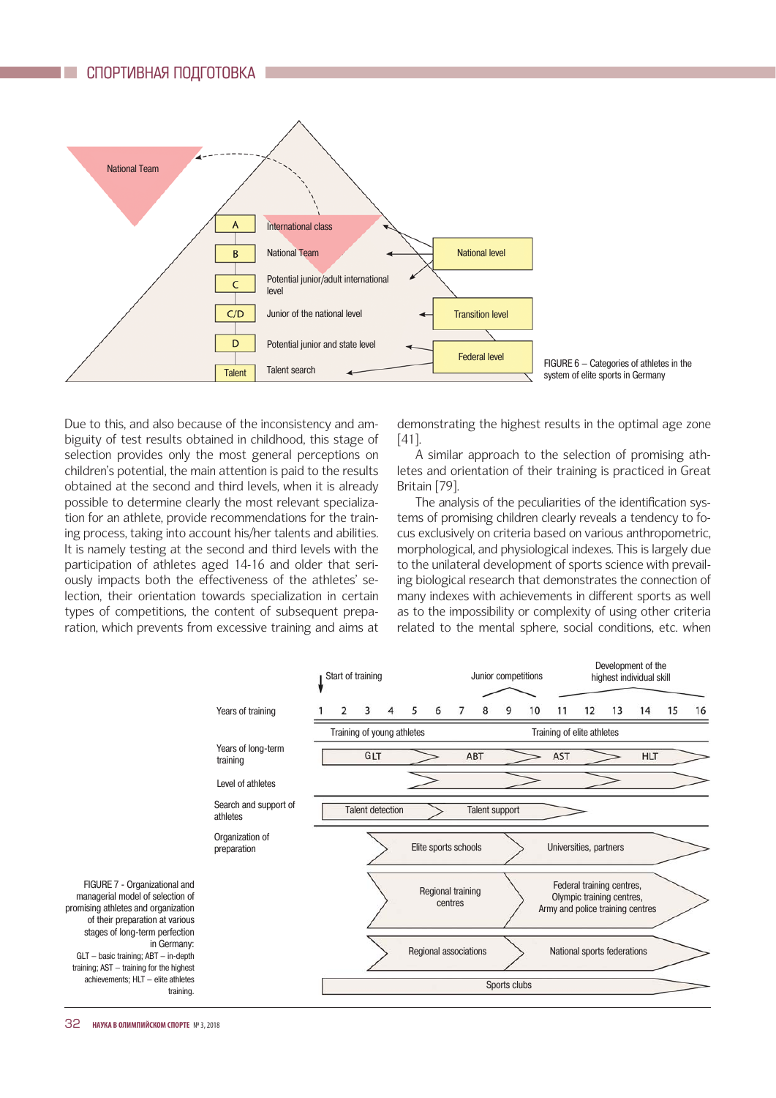

Due to this, and also because of the inconsistency and ambiguity of test results obtained in childhood, this stage of selection provides only the most general perceptions on children's potential, the main attention is paid to the results obtained at the second and third levels, when it is already possible to determine clearly the most relevant specialization for an athlete, provide recommendations for the training process, taking into account his/her talents and abilities. It is namely testing at the second and third levels with the participation of athletes aged 14-16 and older that seriously impacts both the effectiveness of the athletes' selection, their orientation towards specialization in certain types of competitions, the content of subsequent preparation, which prevents from excessive training and aims at

demonstrating the highest results in the optimal age zone [41].

A similar approach to the selection of promising athletes and orientation of their training is practiced in Great Britain [79].

The analysis of the peculiarities of the identification systems of promising children clearly reveals a tendency to focus exclusively on criteria based on various anthropometric, morphological, and physiological indexes. This is largely due to the unilateral development of sports science with prevailing biological research that demonstrates the connection of many indexes with achievements in different sports as well as to the impossibility or complexity of using other criteria related to the mental sphere, social conditions, etc. when

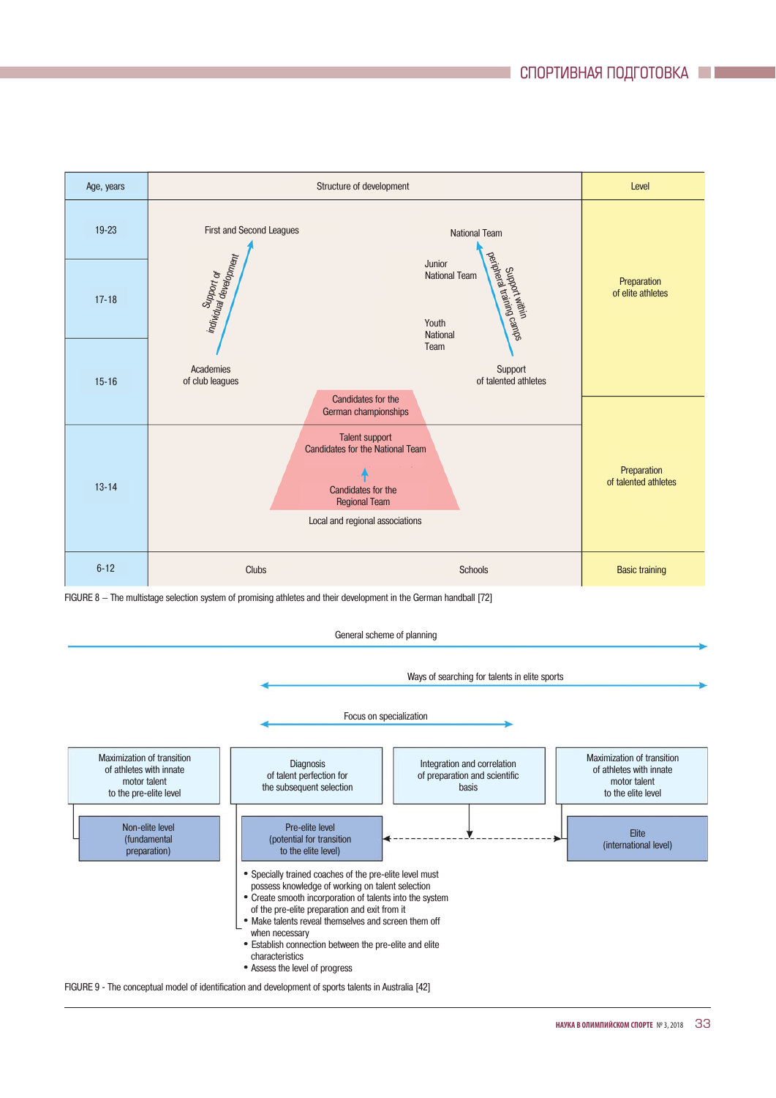| Age, years |                              | Level                                                                                                                                             |                                                                                                       |                                     |
|------------|------------------------------|---------------------------------------------------------------------------------------------------------------------------------------------------|-------------------------------------------------------------------------------------------------------|-------------------------------------|
| $19 - 23$  | First and Second Leagues     |                                                                                                                                                   | <b>National Team</b>                                                                                  |                                     |
| $17 - 18$  | individual development       |                                                                                                                                                   | Support within<br>Support withing camps<br>Junior<br><b>National Team</b><br>Youth<br><b>National</b> | Preparation<br>of elite athletes    |
| $15 - 16$  | Academies<br>of club leagues |                                                                                                                                                   | Team<br>Support<br>of talented athletes                                                               |                                     |
|            |                              | Candidates for the<br>German championships                                                                                                        |                                                                                                       |                                     |
| $13 - 14$  |                              | <b>Talent support</b><br><b>Candidates for the National Team</b><br>Candidates for the<br><b>Regional Team</b><br>Local and regional associations |                                                                                                       | Preparation<br>of talented athletes |
| $6 - 12$   | <b>Clubs</b>                 |                                                                                                                                                   | <b>Schools</b>                                                                                        | <b>Basic training</b>               |

FIGURE 8 – The multistage selection system of promising athletes and their development in the German handball [72]

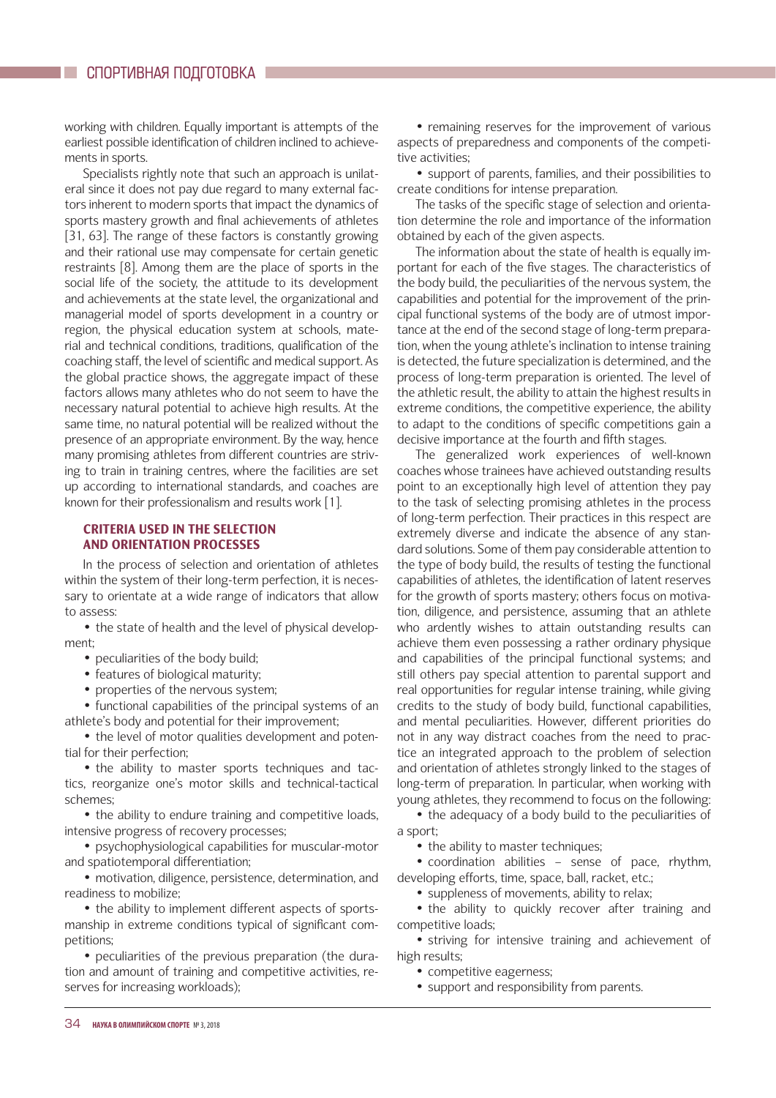working with children. Equally important is attempts of the earliest possible identification of children inclined to achievements in sports.

Specialists rightly note that such an approach is unilateral since it does not pay due regard to many external factors inherent to modern sports that impact the dynamics of sports mastery growth and final achievements of athletes [31, 63]. The range of these factors is constantly growing and their rational use may compensate for certain genetic restraints [8]. Among them are the place of sports in the social life of the society, the attitude to its development and achievements at the state level, the organizational and managerial model of sports development in a country or region, the physical education system at schools, material and technical conditions, traditions, qualification of the coaching staff, the level of scientific and medical support. As the global practice shows, the aggregate impact of these factors allows many athletes who do not seem to have the necessary natural potential to achieve high results. At the same time, no natural potential will be realized without the presence of an appropriate environment. By the way, hence many promising athletes from different countries are striving to train in training centres, where the facilities are set up according to international standards, and coaches are known for their professionalism and results work [1].

## CRITERIA USED IN THE SELECTION AND ORIENTATION PROCESSES

In the process of selection and orientation of athletes within the system of their long-term perfection, it is necessary to orientate at a wide range of indicators that allow to assess:

• the state of health and the level of physical development;

• peculiarities of the body build;

• features of biological maturity;

• properties of the nervous system;

• functional capabilities of the principal systems of an athlete's body and potential for their improvement;

• the level of motor qualities development and potential for their perfection;

• the ability to master sports techniques and tactics, reorganize one's motor skills and technical-tactical schemes;

• the ability to endure training and competitive loads, intensive progress of recovery processes;

• psychophysiological capabilities for muscular-motor and spatiotemporal differentiation;

• motivation, diligence, persistence, determination, and readiness to mobilize;

• the ability to implement different aspects of sportsmanship in extreme conditions typical of significant competitions;

• peculiarities of the previous preparation (the duration and amount of training and competitive activities, reserves for increasing workloads);

• remaining reserves for the improvement of various aspects of preparedness and components of the competitive activities;

• support of parents, families, and their possibilities to create conditions for intense preparation.

The tasks of the specific stage of selection and orientation determine the role and importance of the information obtained by each of the given aspects.

The information about the state of health is equally important for each of the five stages. The characteristics of the body build, the peculiarities of the nervous system, the capabilities and potential for the improvement of the principal functional systems of the body are of utmost importance at the end of the second stage of long-term preparation, when the young athlete's inclination to intense training is detected, the future specialization is determined, and the process of long-term preparation is oriented. The level of the athletic result, the ability to attain the highest results in extreme conditions, the competitive experience, the ability to adapt to the conditions of specific competitions gain a decisive importance at the fourth and fifth stages.

The generalized work experiences of well-known coaches whose trainees have achieved outstanding results point to an exceptionally high level of attention they pay to the task of selecting promising athletes in the process of long-term perfection. Their practices in this respect are extremely diverse and indicate the absence of any standard solutions. Some of them pay considerable attention to the type of body build, the results of testing the functional capabilities of athletes, the identification of latent reserves for the growth of sports mastery; others focus on motivation, diligence, and persistence, assuming that an athlete who ardently wishes to attain outstanding results can achieve them even possessing a rather ordinary physique and capabilities of the principal functional systems; and still others pay special attention to parental support and real opportunities for regular intense training, while giving credits to the study of body build, functional capabilities, and mental peculiarities. However, different priorities do not in any way distract coaches from the need to practice an integrated approach to the problem of selection and orientation of athletes strongly linked to the stages of long-term of preparation. In particular, when working with young athletes, they recommend to focus on the following:

• the adequacy of a body build to the peculiarities of a sport;

• the ability to master techniques;

• coordination abilities – sense of pace, rhythm, developing efforts, time, space, ball, racket, etc.;

• suppleness of movements, ability to relax:

• the ability to quickly recover after training and competitive loads;

• striving for intensive training and achievement of high results;

• competitive eagerness;

• support and responsibility from parents.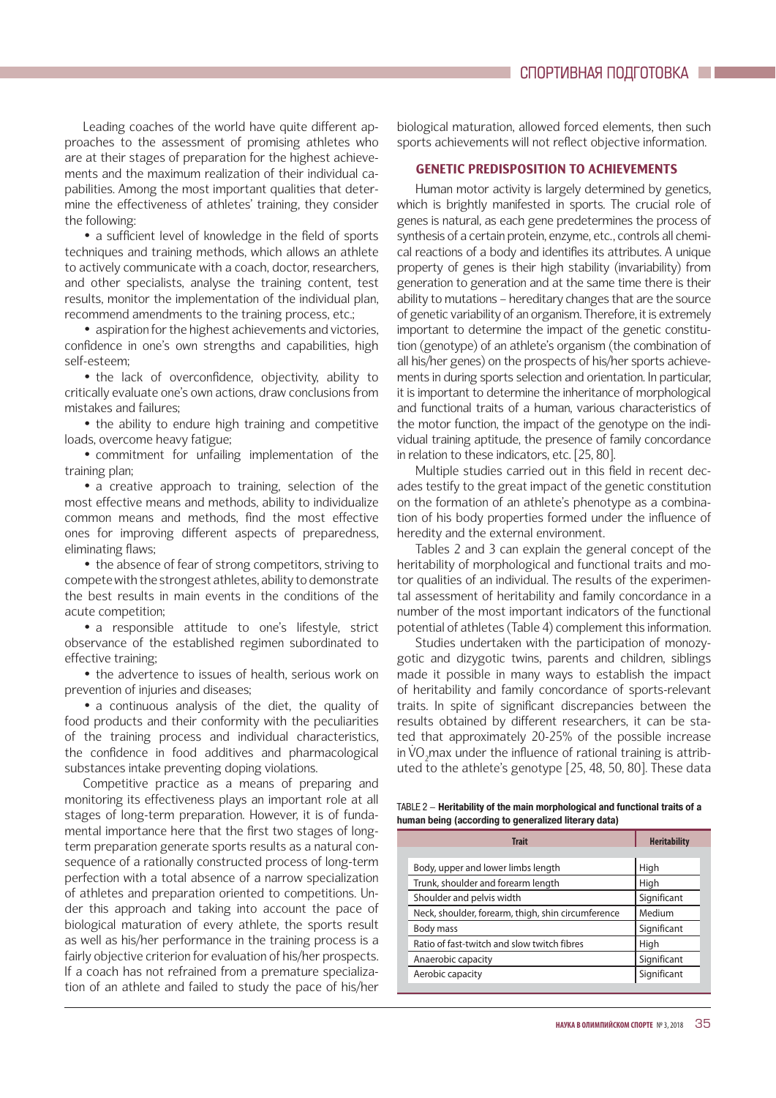Leading coaches of the world have quite different approaches to the assessment of promising athletes who are at their stages of preparation for the highest achievements and the maximum realization of their individual capabilities. Among the most important qualities that determine the effectiveness of athletes' training, they consider the following:

• a sufficient level of knowledge in the field of sports techniques and training methods, which allows an athlete to actively communicate with a coach, doctor, researchers, and other specialists, analyse the training content, test results, monitor the implementation of the individual plan, recommend amendments to the training process, etc.;

• aspiration for the highest achievements and victories, confidence in one's own strengths and capabilities, high self-esteem;

• the lack of overconfidence, objectivity, ability to critically evaluate one's own actions, draw conclusions from mistakes and failures;

• the ability to endure high training and competitive loads, overcome heavy fatigue;

• commitment for unfailing implementation of the training plan;

• a creative approach to training, selection of the most effective means and methods, ability to individualize common means and methods, find the most effective ones for improving different aspects of preparedness, eliminating flaws;

• the absence of fear of strong competitors, striving to compete with the strongest athletes, ability to demonstrate the best results in main events in the conditions of the acute competition;

• a responsible attitude to one's lifestyle, strict observance of the established regimen subordinated to effective training;

• the advertence to issues of health, serious work on prevention of injuries and diseases;

• a continuous analysis of the diet, the quality of food products and their conformity with the peculiarities of the training process and individual characteristics, the confidence in food additives and pharmacological substances intake preventing doping violations.

Competitive practice as a means of preparing and monitoring its effectiveness plays an important role at all stages of long-term preparation. However, it is of fundamental importance here that the first two stages of longterm preparation generate sports results as a natural consequence of a rationally constructed process of long-term perfection with a total absence of a narrow specialization of athletes and preparation oriented to competitions. Under this approach and taking into account the pace of biological maturation of every athlete, the sports result as well as his/her performance in the training process is a fairly objective criterion for evaluation of his/her prospects. If a coach has not refrained from a premature specialization of an athlete and failed to study the pace of his/her biological maturation, allowed forced elements, then such sports achievements will not reflect objective information.

## GENETIC PREDISPOSITION TO ACHIEVEMENTS

Human motor activity is largely determined by genetics, which is brightly manifested in sports. The crucial role of genes is natural, as each gene predetermines the process of synthesis of a certain protein, enzyme, etc., controls all chemical reactions of a body and identifies its attributes. A unique property of genes is their high stability (invariability) from generation to generation and at the same time there is their ability to mutations – hereditary changes that are the source of genetic variability of an organism. Therefore, it is extremely important to determine the impact of the genetic constitution (genotype) of an athlete's organism (the combination of all his/her genes) on the prospects of his/her sports achievements in during sports selection and orientation. In particular, it is important to determine the inheritance of morphological and functional traits of a human, various characteristics of the motor function, the impact of the genotype on the individual training aptitude, the presence of family concordance in relation to these indicators, etc. [25, 80].

Multiple studies carried out in this field in recent decades testify to the great impact of the genetic constitution on the formation of an athlete's phenotype as a combination of his body properties formed under the influence of heredity and the external environment.

Tables 2 and 3 can explain the general concept of the heritability of morphological and functional traits and motor qualities of an individual. The results of the experimental assessment of heritability and family concordance in a number of the most important indicators of the functional potential of athletes (Table 4) complement this information.

Studies undertaken with the participation of monozygotic and dizygotic twins, parents and children, siblings made it possible in many ways to establish the impact of heritability and family concordance of sports-relevant traits. In spite of significant discrepancies between the results obtained by different researchers, it can be stated that approximately 20-25% of the possible increase ted that approximately 20-25% of the possible increase<br>in  $\rm\dot{VO}_{2}$  max under the influence of rational training is attributed to the athlete's genotype [25, 48, 50, 80]. These data

TABLE 2 – **Heritability of the main morphological and functional traits of a human being (according to generalized literary data)**

| <b>Trait</b>                                       | <b>Heritability</b> |  |
|----------------------------------------------------|---------------------|--|
|                                                    |                     |  |
| Body, upper and lower limbs length                 | High                |  |
| Trunk, shoulder and forearm length                 | High                |  |
| Shoulder and pelvis width                          | Significant         |  |
| Neck, shoulder, forearm, thigh, shin circumference | Medium              |  |
| Body mass                                          | Significant         |  |
| Ratio of fast-twitch and slow twitch fibres        | High                |  |
| Anaerobic capacity                                 | Significant         |  |
| Aerobic capacity                                   | Significant         |  |
|                                                    |                     |  |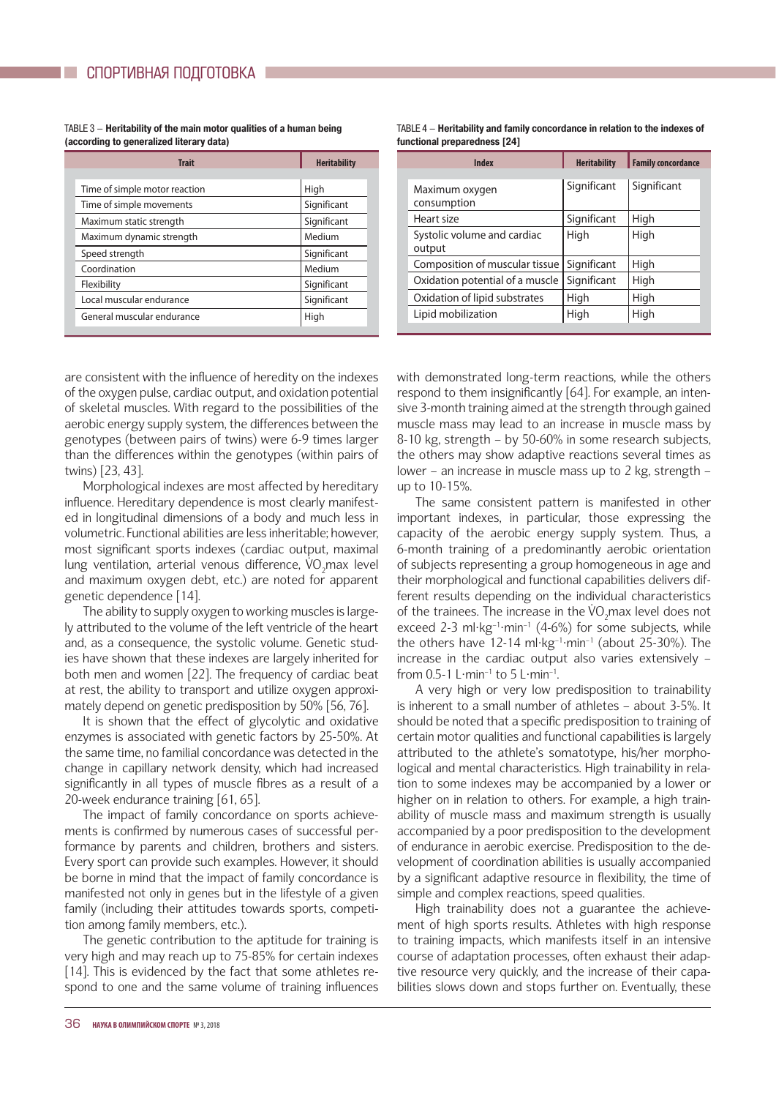TABLE 3 – **Heritability of the main motor qualities of a human being (according to generalized literary data)**

| <b>Trait</b>                  | <b>Heritability</b> |  |
|-------------------------------|---------------------|--|
|                               |                     |  |
| Time of simple motor reaction | High                |  |
| Time of simple movements      | Significant         |  |
| Maximum static strength       | Significant         |  |
| Maximum dynamic strength      | Medium              |  |
| Speed strength                | Significant         |  |
| Coordination                  | Medium              |  |
| Flexibility                   | Significant         |  |
| Local muscular endurance      | Significant         |  |
| General muscular endurance    | High                |  |

TABLE 4 – **Heritability and family concordance in relation to the indexes of functional preparedness [24]**

| <b>Index</b>                          | <b>Heritability</b> | Family concordance |  |
|---------------------------------------|---------------------|--------------------|--|
| Maximum oxygen<br>consumption         | Significant         | Significant        |  |
| Heart size                            | Significant         | High               |  |
| Systolic volume and cardiac<br>output | High                | High               |  |
| Composition of muscular tissue        | Significant         | High               |  |
| Oxidation potential of a muscle       | Significant         | High               |  |
| Oxidation of lipid substrates         | High                | High               |  |
| Lipid mobilization                    | High                | High               |  |
|                                       |                     |                    |  |

are consistent with the influence of heredity on the indexes of the oxygen pulse, cardiac output, and oxidation potential of skeletal muscles. With regard to the possibilities of the aerobic energy supply system, the differences between the genotypes (between pairs of twins) were 6-9 times larger than the differences within the genotypes (within pairs of twins) [23, 43].

Morphological indexes are most affected by hereditary influence. Hereditary dependence is most clearly manifested in longitudinal dimensions of a body and much less in volumetric. Functional abilities are less inheritable; however, most significant sports indexes (cardiac output, maximal most significant sports indexes (cardiac output, maximal lung ventilation, arterial venous difference,  $VO<sub>2</sub>$ max level and maximum oxygen debt, etc.) are noted for apparent genetic dependence [14].

The ability to supply oxygen to working muscles is largely attributed to the volume of the left ventricle of the heart and, as a consequence, the systolic volume. Genetic studies have shown that these indexes are largely inherited for both men and women [22]. The frequency of cardiac beat at rest, the ability to transport and utilize oxygen approximately depend on genetic predisposition by 50% [56, 76].

It is shown that the effect of glycolytic and oxidative enzymes is associated with genetic factors by 25-50%. At the same time, no familial concordance was detected in the change in capillary network density, which had increased significantly in all types of muscle fibres as a result of a 20-week endurance training [61, 65].

The impact of family concordance on sports achievements is confirmed by numerous cases of successful performance by parents and children, brothers and sisters. Every sport can provide such examples. However, it should be borne in mind that the impact of family concordance is manifested not only in genes but in the lifestyle of a given family (including their attitudes towards sports, competition among family members, etc.).

The genetic contribution to the aptitude for training is very high and may reach up to 75-85% for certain indexes [14]. This is evidenced by the fact that some athletes respond to one and the same volume of training influences with demonstrated long-term reactions, while the others respond to them insignificantly  $[64]$ . For example, an intensive 3-month training aimed at the strength through gained muscle mass may lead to an increase in muscle mass by 8-10 kg, strength – by 50-60% in some research subjects, the others may show adaptive reactions several times as lower – an increase in muscle mass up to 2 kg, strength – up to 10-15%.

The same consistent pattern is manifested in other important indexes, in particular, those expressing the capacity of the aerobic energy supply system. Thus, a 6-month training of a predominantly aerobic orientation of subjects representing a group homogeneous in age and their morphological and functional capabilities delivers different results depending on the individual characteristics Ferent results depending on the individual characteristics of the trainees. The increase in the  $VO<sub>2</sub>$  max level does not exceed 2-3 ml·kg<sup>-1</sup>·min<sup>-1</sup> (4-6%) for some subjects, while the others have 12-14 ml $\cdot$ kg<sup>-1</sup> $\cdot$ min<sup>-1</sup> (about 25-30%). The increase in the cardiac output also varies extensively – from 0.5-1 L·min–1 to 5 L·min–1.

A very high or very low predisposition to trainability is inherent to a small number of athletes – about 3-5%. It should be noted that a specific predisposition to training of certain motor qualities and functional capabilities is largely attributed to the athlete's somatotype, his/her morphological and mental characteristics. High trainability in relation to some indexes may be accompanied by a lower or higher on in relation to others. For example, a high trainability of muscle mass and maximum strength is usually accompanied by a poor predisposition to the development of endurance in aerobic exercise. Predisposition to the development of coordination abilities is usually accompanied by a significant adaptive resource in flexibility, the time of simple and complex reactions, speed qualities.

High trainability does not a guarantee the achievement of high sports results. Athletes with high response to training impacts, which manifests itself in an intensive course of adaptation processes, often exhaust their adaptive resource very quickly, and the increase of their capabilities slows down and stops further on. Eventually, these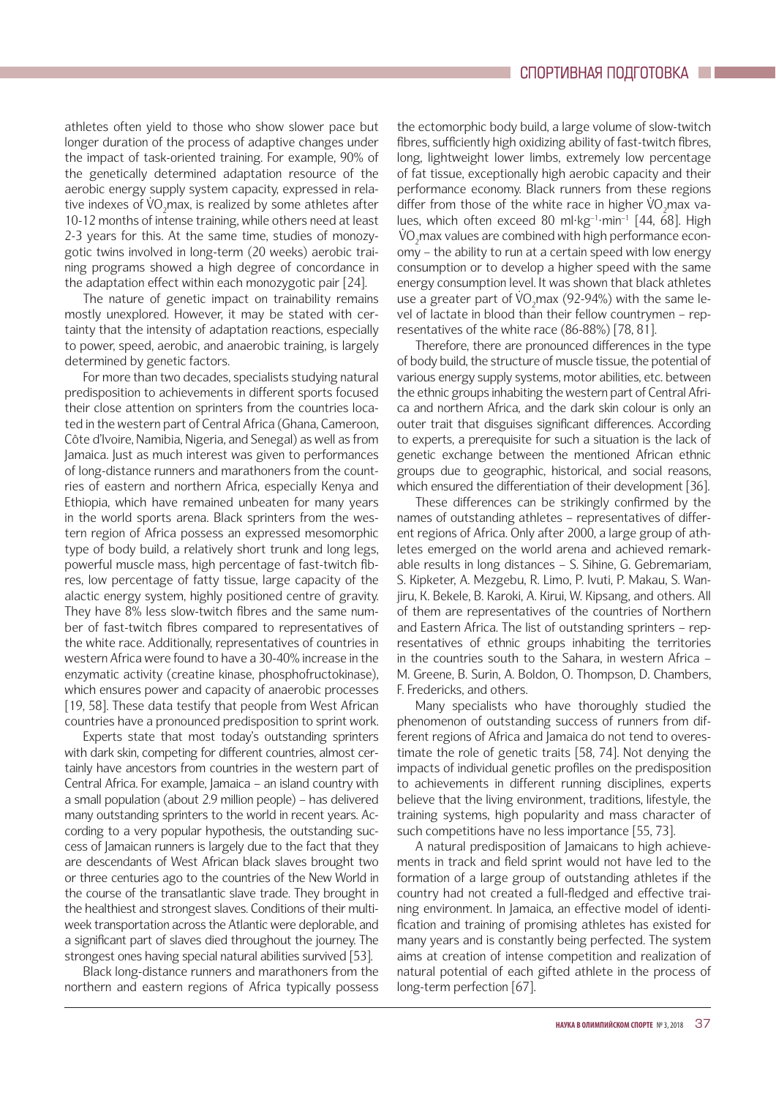athletes often yield to those who show slower pace but longer duration of the process of adaptive changes under the impact of task-oriented training. For example, 90% of the genetically determined adaptation resource of the aerobic energy supply system capacity, expressed in reladerobic energy supply system capacity, expressed in relative indexes of  $\text{VO}_2$ max, is realized by some athletes after 10-12 months of intense training, while others need at least 2-3 years for this. At the same time, studies of monozygotic twins involved in long-term (20 weeks) aerobic training programs showed a high degree of concordance in the adaptation effect within each monozygotic pair [24].

The nature of genetic impact on trainability remains mostly unexplored. However, it may be stated with certainty that the intensity of adaptation reactions, especially to power, speed, aerobic, and anaerobic training, is largely determined by genetic factors.

For more than two decades, specialists studying natural predisposition to achievements in different sports focused their close attention on sprinters from the countries located in the western part of Central Africa (Ghana, Cameroon, Côte d'Ivoire, Namibia, Nigeria, and Senegal) as well as from Jamaica. Just as much interest was given to performances of long-distance runners and marathoners from the countries of eastern and northern Africa, especially Kenya and Ethiopia, which have remained unbeaten for many years in the world sports arena. Black sprinters from the western region of Africa possess an expressed mesomorphic type of body build, a relatively short trunk and long legs, powerful muscle mass, high percentage of fast-twitch fibres, low percentage of fatty tissue, large capacity of the alactic energy system, highly positioned centre of gravity. They have 8% less slow-twitch fibres and the same number of fast-twitch fibres compared to representatives of the white race. Additionally, representatives of countries in western Africa were found to have a 30-40% increase in the enzymatic activity (creatine kinase, phosphofructokinase), which ensures power and capacity of anaerobic processes [19, 58]. These data testify that people from West African countries have a pronounced predisposition to sprint work.

Experts state that most today's outstanding sprinters with dark skin, competing for different countries, almost certainly have ancestors from countries in the western part of Central Africa. For example, Jamaica – an island country with a small population (about 2.9 million people) – has delivered many outstanding sprinters to the world in recent years. According to a very popular hypothesis, the outstanding success of Jamaican runners is largely due to the fact that they are descendants of West African black slaves brought two or three centuries ago to the countries of the New World in the course of the transatlantic slave trade. They brought in the healthiest and strongest slaves. Conditions of their multiweek transportation across the Atlantic were deplorable, and a significant part of slaves died throughout the journey. The strongest ones having special natural abilities survived [53].

Black long-distance runners and marathoners from the northern and eastern regions of Africa typically possess

the ectomorphic body build, a large volume of slow-twitch fibres, sufficiently high oxidizing ability of fast-twitch fibres, long, lightweight lower limbs, extremely low percentage of fat tissue, exceptionally high aerobic capacity and their performance economy. Black runners from these regions performance economy. Black funners from these regions differ from those of the white race in higher  $VO<sub>2</sub>$  max values, which often exceed 80 ml·kg<sup>-1</sup>·min<sup>-1</sup> [44, 68]. High  $VO<sub>2</sub>$  max values are combined with high performance econ-. omy – the ability to run at a certain speed with low energy consumption or to develop a higher speed with the same energy consumption level. It was shown that black athletes energy consumption level. It was shown that black athletes<br>use a greater part of VO<sub>2</sub>max (92-94%) with the same level of lactate in blood than their fellow countrymen – representatives of the white race (86-88%) [78, 81].

Therefore, there are pronounced differences in the type of body build, the structure of muscle tissue, the potential of various energy supply systems, motor abilities, etc. between the ethnic groups inhabiting the western part of Central Africa and northern Africa, and the dark skin colour is only an outer trait that disguises significant differences. According to experts, a prerequisite for such a situation is the lack of genetic exchange between the mentioned African ethnic groups due to geographic, historical, and social reasons, which ensured the differentiation of their development [36].

These differences can be strikingly confirmed by the names of outstanding athletes – representatives of different regions of Africa. Only after 2000, a large group of athletes emerged on the world arena and achieved remarkable results in long distances – S. Sihine, G. Gebremariam, S. Kipketer, A. Mezgebu, R. Limo, P. Ivuti, P. Makau, S. Wanjiru, K. Bekele, B. Karoki, A. Kirui, W. Kipsang, and others. All of them are representatives of the countries of Northern and Eastern Africa. The list of outstanding sprinters – representatives of ethnic groups inhabiting the territories in the countries south to the Sahara, in western Africa – M. Greene, B. Surin, A. Boldon, O. Thompson, D. Chambers, F. Fredericks, and others.

Many specialists who have thoroughly studied the phenomenon of outstanding success of runners from different regions of Africa and Jamaica do not tend to overestimate the role of genetic traits [58, 74]. Not denying the impacts of individual genetic profiles on the predisposition to achievements in different running disciplines, experts believe that the living environment, traditions, lifestyle, the training systems, high popularity and mass character of such competitions have no less importance [55, 73].

A natural predisposition of Jamaicans to high achievements in track and field sprint would not have led to the formation of a large group of outstanding athletes if the country had not created a full-fledged and effective training environment. In Jamaica, an effective model of identification and training of promising athletes has existed for many years and is constantly being perfected. The system aims at creation of intense competition and realization of natural potential of each gifted athlete in the process of long-term perfection [67].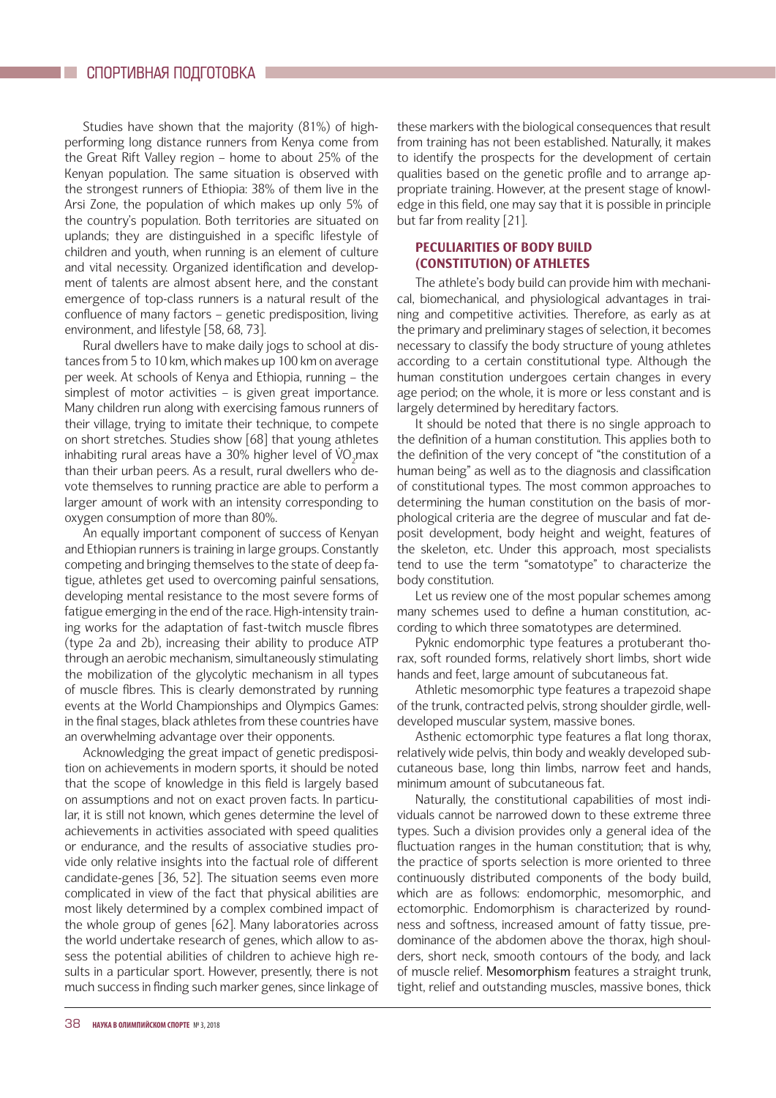Studies have shown that the majority (81%) of highperforming long distance runners from Kenya come from the Great Rift Valley region – home to about 25% of the Kenyan population. The same situation is observed with the strongest runners of Ethiopia: 38% of them live in the Arsi Zone, the population of which makes up only 5% of the country's population. Both territories are situated on uplands; they are distinguished in a specific lifestyle of children and youth, when running is an element of culture and vital necessity. Organized identification and development of talents are almost absent here, and the constant emergence of top-class runners is a natural result of the confluence of many factors - genetic predisposition, living environment, and lifestyle [58, 68, 73].

Rural dwellers have to make daily jogs to school at distances from 5 to 10 km, which makes up 100 km on average per week. At schools of Kenya and Ethiopia, running – the simplest of motor activities – is given great importance. Many children run along with exercising famous runners of their village, trying to imitate their technique, to compete on short stretches. Studies show [68] that young athletes on short stretches. Studies show [bo] that young athletes<br>inhabiting rural areas have a 30% higher level of  $\rm \ddot{VO}_2$ max than their urban peers. As a result, rural dwellers who devote themselves to running practice are able to perform a larger amount of work with an intensity corresponding to oxygen consumption of more than 80%.

An equally important component of success of Kenyan and Ethiopian runners is training in large groups. Constantly competing and bringing themselves to the state of deep fatigue, athletes get used to overcoming painful sensations, developing mental resistance to the most severe forms of fatigue emerging in the end of the race. High-intensity training works for the adaptation of fast-twitch muscle fibres (type 2a and 2b), increasing their ability to produce ATP through an aerobic mechanism, simultaneously stimulating the mobilization of the glycolytic mechanism in all types of muscle fibres. This is clearly demonstrated by running events at the World Championships and Olympics Games: in the final stages, black athletes from these countries have an overwhelming advantage over their opponents.

Acknowledging the great impact of genetic predisposition on achievements in modern sports, it should be noted that the scope of knowledge in this field is largely based on assumptions and not on exact proven facts. In particular, it is still not known, which genes determine the level of achievements in activities associated with speed qualities or endurance, and the results of associative studies provide only relative insights into the factual role of different candidate-genes [36, 52]. The situation seems even more complicated in view of the fact that physical abilities are most likely determined by a complex combined impact of the whole group of genes [62]. Many laboratories across the world undertake research of genes, which allow to assess the potential abilities of children to achieve high results in a particular sport. However, presently, there is not much success in finding such marker genes, since linkage of

these markers with the biological consequences that result from training has not been established. Naturally, it makes to identify the prospects for the development of certain qualities based on the genetic profile and to arrange appropriate training. However, at the present stage of knowledge in this field, one may say that it is possible in principle but far from reality [21].

## PECULIARITIES OF BODY BUILD (CONSTITUTION) OF ATHLETES

The athlete's body build can provide him with mechanical, biomechanical, and physiological advantages in training and competitive activities. Therefore, as early as at the primary and preliminary stages of selection, it becomes necessary to classify the body structure of young athletes according to a certain constitutional type. Although the human constitution undergoes certain changes in every age period; on the whole, it is more or less constant and is largely determined by hereditary factors.

It should be noted that there is no single approach to the definition of a human constitution. This applies both to the definition of the very concept of "the constitution of a human being" as well as to the diagnosis and classification of constitutional types. The most common approaches to determining the human constitution on the basis of morphological criteria are the degree of muscular and fat deposit development, body height and weight, features of the skeleton, etc. Under this approach, most specialists tend to use the term "somatotype" to characterize the body constitution.

Let us review one of the most popular schemes among many schemes used to define a human constitution, according to which three somatotypes are determined.

Pyknic endomorphic type features a protuberant thorax, soft rounded forms, relatively short limbs, short wide hands and feet, large amount of subcutaneous fat.

Athletic mesomorphic type features a trapezoid shape of the trunk, contracted pelvis, strong shoulder girdle, welldeveloped muscular system, massive bones.

Asthenic ectomorphic type features a flat long thorax, relatively wide pelvis, thin body and weakly developed subcutaneous base, long thin limbs, narrow feet and hands, minimum amount of subcutaneous fat.

Naturally, the constitutional capabilities of most individuals cannot be narrowed down to these extreme three types. Such a division provides only a general idea of the fluctuation ranges in the human constitution; that is why, the practice of sports selection is more oriented to three continuously distributed components of the body build, which are as follows: endomorphic, mesomorphic, and ectomorphic. Endomorphism is characterized by roundness and softness, increased amount of fatty tissue, predominance of the abdomen above the thorax, high shoulders, short neck, smooth contours of the body, and lack of muscle relief. Mesomorphism features a straight trunk, tight, relief and outstanding muscles, massive bones, thick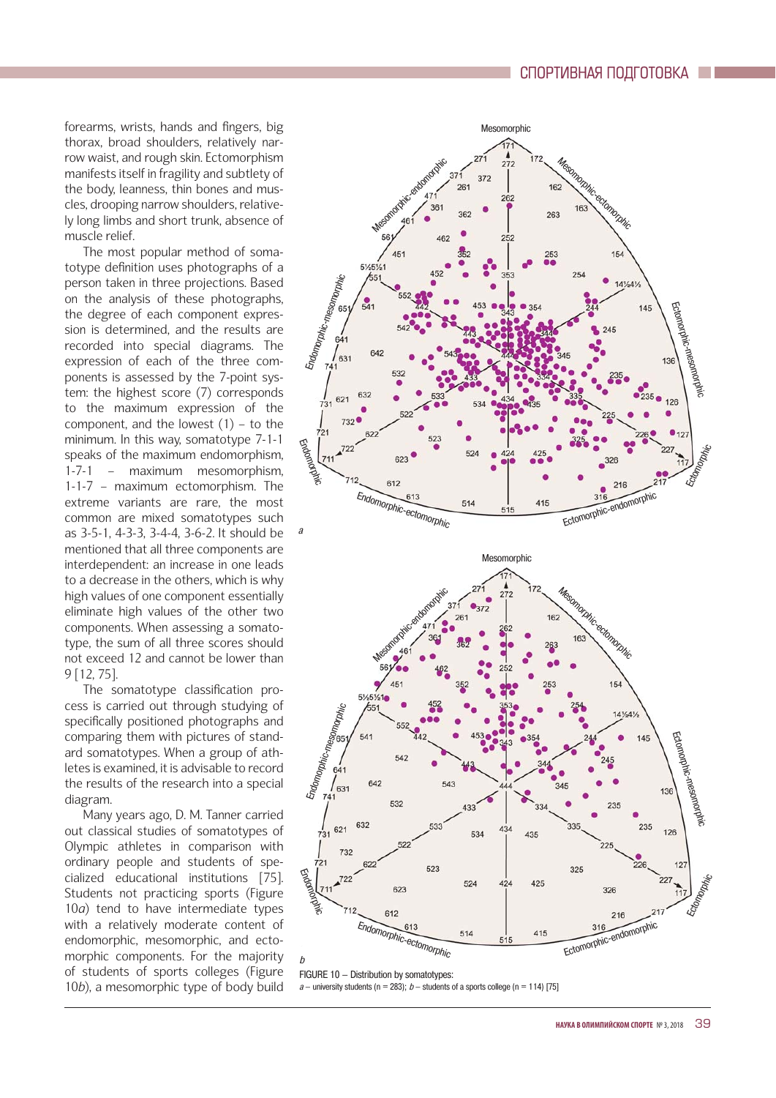forearms, wrists, hands and fingers, big thorax, broad shoulders, relatively narrow waist, and rough skin. Ectomorphism manifests itself in fragility and subtlety of the body, leanness, thin bones and muscles, drooping narrow shoulders, relatively long limbs and short trunk, absence of muscle relief.

The most popular method of somatotype definition uses photographs of a person taken in three projections. Based on the analysis of these photographs, the degree of each component expression is determined, and the results are recorded into special diagrams. The expression of each of the three components is assessed by the 7-point system: the highest score (7) corresponds to the maximum expression of the component, and the lowest (1) – to the minimum. In this way, somatotype 7-1-1 speaks of the maximum endomorphism, 1-7-1 – maximum mesomorphism, 1-1-7 – maximum ectomorphism. The extreme variants are rare, the most common are mixed somatotypes such as 3-5-1, 4-3-3, 3-4-4, 3-6-2. It should be mentioned that all three components are interdependent: an increase in one leads to a decrease in the others, which is why high values of one component essentially eliminate high values of the other two components. When assessing a somatotype, the sum of all three scores should not exceed 12 and cannot be lower than 9 [12, 75].

The somatotype classification process is carried out through studying of specifically positioned photographs and comparing them with pictures of standard somatotypes. When a group of athletes is examined, it is advisable to record the results of the research into a special diagram.

Many years ago, D. M. Tanner carried out classical studies of somatotypes of Olympic athletes in comparison with ordinary people and students of specialized educational institutions [75]. Students not practicing sports (Figure 10*a*) tend to have intermediate types with a relatively moderate content of endomorphic, mesomorphic, and ectomorphic components. For the majority of students of sports colleges (Figure 10*b*), a mesomorphic type of body build



FIGURE 10 – Distribution by somatotypes: a – university students (n = 283);  $b$  – students of a sports college (n = 114) [75]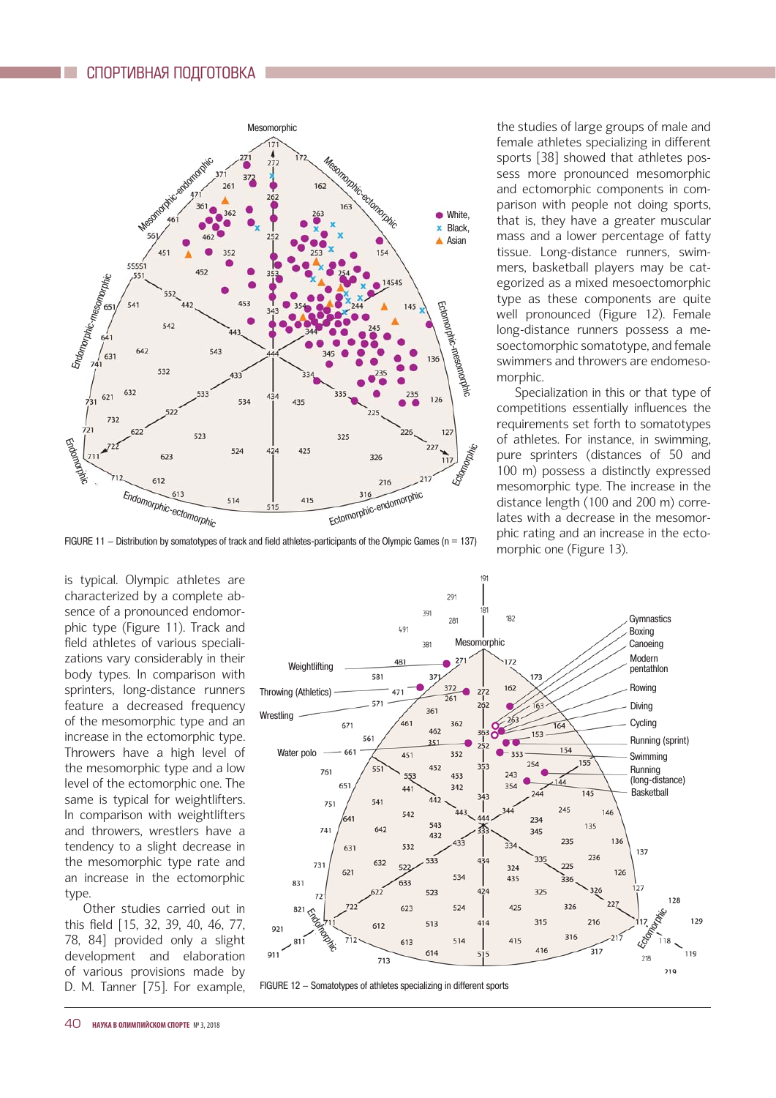

FIGURE 11 – Distribution by somatotypes of track and field athletes-participants of the Olympic Games (n = 137)

the studies of large groups of male and female athletes specializing in different sports [38] showed that athletes possess more pronounced mesomorphic and ectomorphic components in comparison with people not doing sports, that is, they have a greater muscular mass and a lower percentage of fatty tissue. Long-distance runners, swimmers, basketball players may be categorized as a mixed mesoectomorphic type as these components are quite well pronounced (Figure 12). Female long-distance runners possess a mesoectomorphic somatotype, and female swimmers and throwers are endomesomorphic.

Specialization in this or that type of competitions essentially influences the requirements set forth to somatotypes of athletes. For instance, in swimming, pure sprinters (distances of 50 and 100 m) possess a distinctly expressed mesomorphic type. The increase in the distance length (100 and 200 m) correlates with a decrease in the mesomorphic rating and an increase in the ectomorphic one (Figure 13).

is typical. Olympic athletes are characterized by a complete absence of a pronounced endomorphic type (Figure 11). Track and field athletes of various specializations vary considerably in their body types. In comparison with sprinters, long-distance runners feature a decreased frequency of the mesomorphic type and an increase in the ectomorphic type. Throwers have a high level of the mesomorphic type and a low level of the ectomorphic one. The same is typical for weightlifters. In comparison with weightlifters and throwers, wrestlers have a tendency to a slight decrease in the mesomorphic type rate and an increase in the ectomorphic type.

Other studies carried out in this field [15, 32, 39, 40, 46, 77, 78, 84] provided only a slight development and elaboration of various provisions made by D. M. Tanner [75]. For example,



FIGURE 12 – Somatotypes of athletes specializing in different sports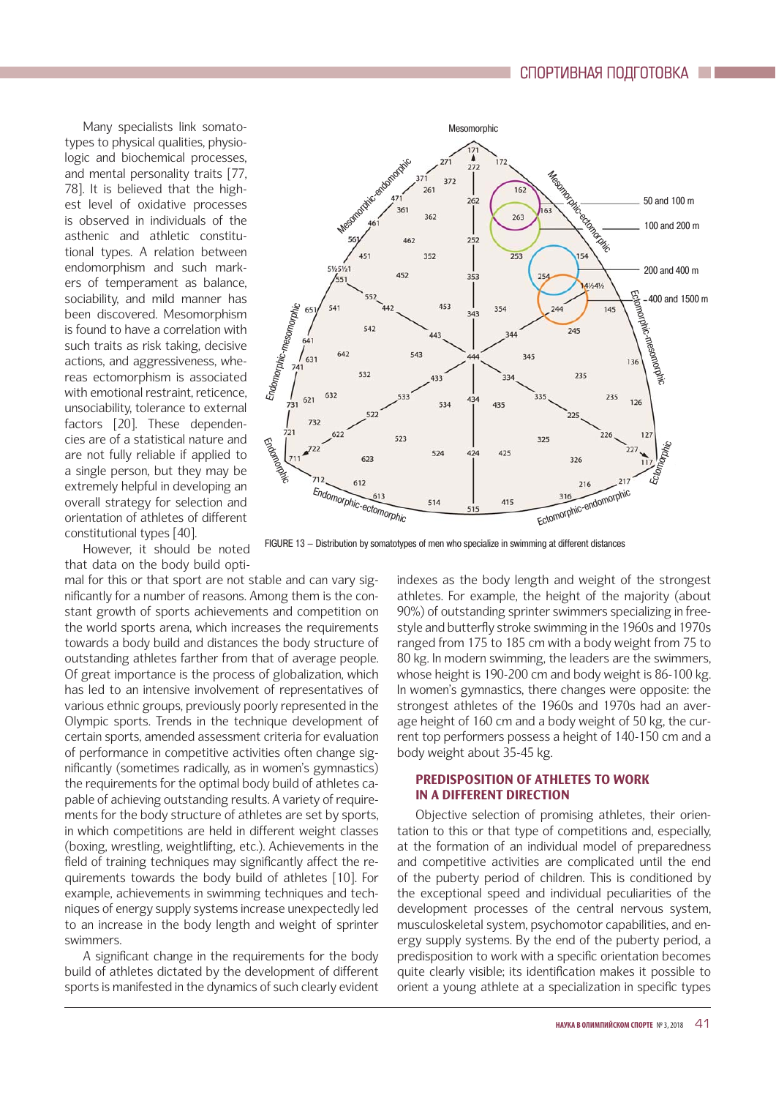Many specialists link somatotypes to physical qualities, physiologic and biochemical processes, and mental personality traits [77, 78]. It is believed that the highest level of oxidative processes is observed in individuals of the asthenic and athletic constitutional types. A relation between endomorphism and such markers of temperament as balance, sociability, and mild manner has been discovered. Mesomorphism is found to have a correlation with such traits as risk taking, decisive actions, and aggressiveness, whereas ectomorphism is associated with emotional restraint, reticence, unsociability, tolerance to external factors [20]. These dependencies are of a statistical nature and are not fully reliable if applied to a single person, but they may be extremely helpful in developing an overall strategy for selection and orientation of athletes of different constitutional types [40].

However, it should be noted that data on the body build opti-

mal for this or that sport are not stable and can vary significantly for a number of reasons. Among them is the constant growth of sports achievements and competition on the world sports arena, which increases the requirements towards a body build and distances the body structure of outstanding athletes farther from that of average people. Of great importance is the process of globalization, which has led to an intensive involvement of representatives of various ethnic groups, previously poorly represented in the Olympic sports. Trends in the technique development of certain sports, amended assessment criteria for evaluation of performance in competitive activities often change significantly (sometimes radically, as in women's gymnastics) the requirements for the optimal body build of athletes capable of achieving outstanding results. A variety of requirements for the body structure of athletes are set by sports, in which competitions are held in different weight classes (boxing, wrestling, weightlifting, etc.). Achievements in the field of training techniques may significantly affect the requirements towards the body build of athletes [10]. For example, achievements in swimming techniques and techniques of energy supply systems increase unexpectedly led to an increase in the body length and weight of sprinter swimmers.

A significant change in the requirements for the body build of athletes dictated by the development of different sports is manifested in the dynamics of such clearly evident



FIGURE 13 – Distribution by somatotypes of men who specialize in swimming at different distances

indexes as the body length and weight of the strongest athletes. For example, the height of the majority (about 90%) of outstanding sprinter swimmers specializing in freestyle and butterfly stroke swimming in the 1960s and 1970s ranged from 175 to 185 cm with a body weight from 75 to 80 kg. In modern swimming, the leaders are the swimmers, whose height is 190-200 cm and body weight is 86-100 kg. In women's gymnastics, there changes were opposite: the strongest athletes of the 1960s and 1970s had an average height of 160 cm and a body weight of 50 kg, the current top performers possess a height of 140-150 cm and a body weight about 35-45 kg.

## PREDISPOSITION OF ATHLETES TO WORK IN A DIFFERENT DIRECTION

Objective selection of promising athletes, their orientation to this or that type of competitions and, especially, at the formation of an individual model of preparedness and competitive activities are complicated until the end of the puberty period of children. This is conditioned by the exceptional speed and individual peculiarities of the development processes of the central nervous system, musculoskeletal system, psychomotor capabilities, and energy supply systems. By the end of the puberty period, a predisposition to work with a specific orientation becomes quite clearly visible; its identification makes it possible to orient a young athlete at a specialization in specific types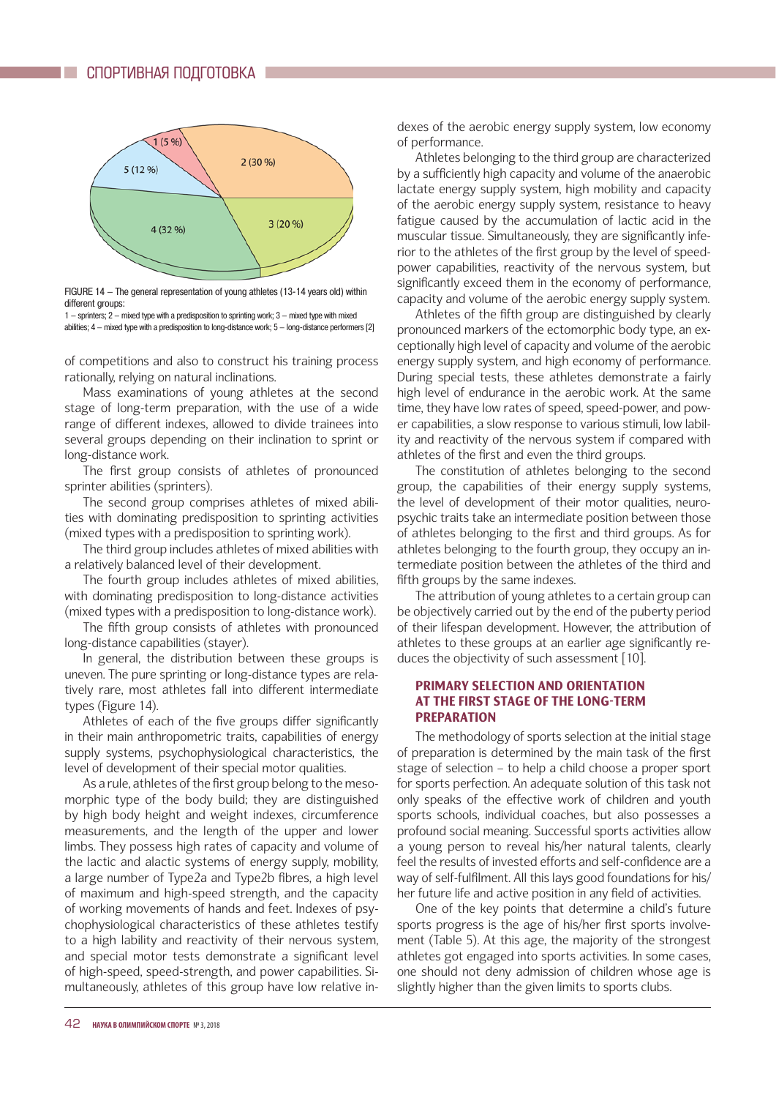

FIGURE 14 – The general representation of young athletes (13-14 years old) within different groups:

1 – sprinters; 2 – mixed type with a predisposition to sprinting work; 3 – mixed type with mixed abilities; 4 – mixed type with a predisposition to long-distance work; 5 – long-distance performers [2]

of competitions and also to construct his training process rationally, relying on natural inclinations.

Mass examinations of young athletes at the second stage of long-term preparation, with the use of a wide range of different indexes, allowed to divide trainees into several groups depending on their inclination to sprint or long-distance work.

The first group consists of athletes of pronounced sprinter abilities (sprinters).

The second group comprises athletes of mixed abilities with dominating predisposition to sprinting activities (mixed types with a predisposition to sprinting work).

The third group includes athletes of mixed abilities with a relatively balanced level of their development.

The fourth group includes athletes of mixed abilities, with dominating predisposition to long-distance activities (mixed types with a predisposition to long-distance work).

The fifth group consists of athletes with pronounced long-distance capabilities (stayer).

In general, the distribution between these groups is uneven. The pure sprinting or long-distance types are relatively rare, most athletes fall into different intermediate types (Figure 14).

Athletes of each of the five groups differ significantly in their main anthropometric traits, capabilities of energy supply systems, psychophysiological characteristics, the level of development of their special motor qualities.

As a rule, athletes of the first group belong to the mesomorphic type of the body build; they are distinguished by high body height and weight indexes, circumference measurements, and the length of the upper and lower limbs. They possess high rates of capacity and volume of the lactic and alactic systems of energy supply, mobility, a large number of Type2a and Type2b fibres, a high level of maximum and high-speed strength, and the capacity of working movements of hands and feet. Indexes of psychophysiological characteristics of these athletes testify to a high lability and reactivity of their nervous system, and special motor tests demonstrate a significant level of high-speed, speed-strength, and power capabilities. Simultaneously, athletes of this group have low relative in-

dexes of the aerobic energy supply system, low economy of performance.

Athletes belonging to the third group are characterized by a sufficiently high capacity and volume of the anaerobic lactate energy supply system, high mobility and capacity of the aerobic energy supply system, resistance to heavy fatigue caused by the accumulation of lactic acid in the muscular tissue. Simultaneously, they are significantly inferior to the athletes of the first group by the level of speedpower capabilities, reactivity of the nervous system, but significantly exceed them in the economy of performance, capacity and volume of the aerobic energy supply system.

Athletes of the fifth group are distinguished by clearly pronounced markers of the ectomorphic body type, an exceptionally high level of capacity and volume of the aerobic energy supply system, and high economy of performance. During special tests, these athletes demonstrate a fairly high level of endurance in the aerobic work. At the same time, they have low rates of speed, speed-power, and power capabilities, a slow response to various stimuli, low lability and reactivity of the nervous system if compared with athletes of the first and even the third groups.

The constitution of athletes belonging to the second group, the capabilities of their energy supply systems, the level of development of their motor qualities, neuropsychic traits take an intermediate position between those of athletes belonging to the first and third groups. As for athletes belonging to the fourth group, they occupy an intermediate position between the athletes of the third and fifth groups by the same indexes.

The attribution of young athletes to a certain group can be objectively carried out by the end of the puberty period of their lifespan development. However, the attribution of athletes to these groups at an earlier age significantly reduces the objectivity of such assessment [10].

## PRIMARY SELECTION AND ORIENTATION AT THE FIRST STAGE OF THE LONG-TERM PREPARATION

The methodology of sports selection at the initial stage of preparation is determined by the main task of the first stage of selection – to help a child choose a proper sport for sports perfection. An adequate solution of this task not only speaks of the effective work of children and youth sports schools, individual coaches, but also possesses a profound social meaning. Successful sports activities allow a young person to reveal his/her natural talents, clearly feel the results of invested efforts and self-confidence are a way of self-fulfilment. All this lays good foundations for his/ her future life and active position in any field of activities.

One of the key points that determine a child's future sports progress is the age of his/her first sports involvement (Table 5). At this age, the majority of the strongest athletes got engaged into sports activities. In some cases, one should not deny admission of children whose age is slightly higher than the given limits to sports clubs.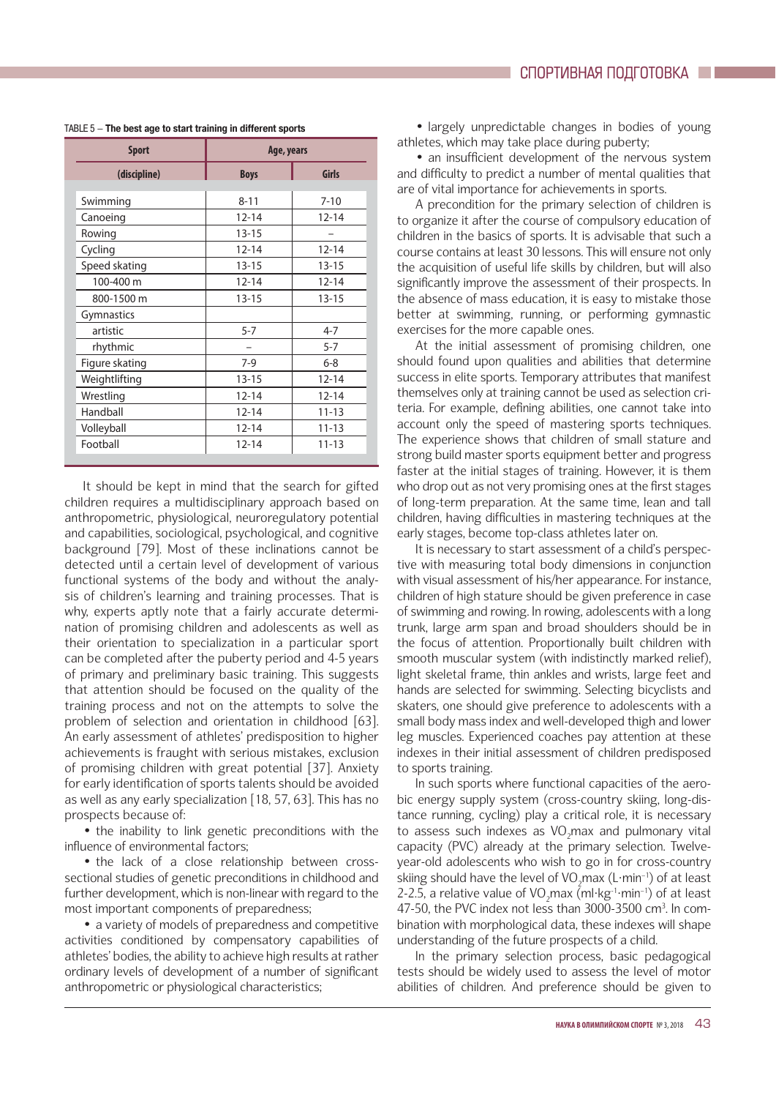| <b>Sport</b>      | Age, years  |              |
|-------------------|-------------|--------------|
| (discipline)      | <b>Boys</b> | <b>Girls</b> |
| Swimming          | $8 - 11$    | $7 - 10$     |
| Canoeing          | $12 - 14$   | $12 - 14$    |
| Rowing            | $13 - 15$   |              |
| Cycling           | $12 - 14$   | $12 - 14$    |
| Speed skating     | $13 - 15$   | $13 - 15$    |
| 100-400 m         | $12 - 14$   | $12 - 14$    |
| 800-1500 m        | $13 - 15$   | $13 - 15$    |
| <b>Gymnastics</b> |             |              |
| artistic          | $5 - 7$     | $4 - 7$      |
| rhythmic          |             | $5 - 7$      |
| Figure skating    | $7-9$       | $6 - 8$      |
| Weightlifting     | $13 - 15$   | $12 - 14$    |
| Wrestling         | $12 - 14$   | $12 - 14$    |
| Handball          | $12 - 14$   | $11 - 13$    |
| Volleyball        | $12 - 14$   | $11 - 13$    |
| Football          | $12 - 14$   | $11 - 13$    |
|                   |             |              |

TABLE 5 – **The best age to start training in different sports**

It should be kept in mind that the search for gifted children requires a multidisciplinary approach based on anthropometric, physiological, neuroregulatory potential and capabilities, sociological, psychological, and cognitive background [79]. Most of these inclinations cannot be detected until a certain level of development of various functional systems of the body and without the analysis of children's learning and training processes. That is why, experts aptly note that a fairly accurate determination of promising children and adolescents as well as their orientation to specialization in a particular sport can be completed after the puberty period and 4-5 years of primary and preliminary basic training. This suggests that attention should be focused on the quality of the training process and not on the attempts to solve the problem of selection and orientation in childhood [63]. An early assessment of athletes' predisposition to higher achievements is fraught with serious mistakes, exclusion of promising children with great potential [37]. Anxiety for early identification of sports talents should be avoided as well as any early specialization [18, 57, 63]. This has no prospects because of:

• the inability to link genetic preconditions with the influence of environmental factors:

• the lack of a close relationship between crosssectional studies of genetic preconditions in childhood and further development, which is non-linear with regard to the most important components of preparedness;

• a variety of models of preparedness and competitive activities conditioned by compensatory capabilities of athletes' bodies, the ability to achieve high results at rather ordinary levels of development of a number of significant anthropometric or physiological characteristics;

• largely unpredictable changes in bodies of young athletes, which may take place during puberty;

• an insufficient development of the nervous system and difficulty to predict a number of mental qualities that are of vital importance for achievements in sports.

A precondition for the primary selection of children is to organize it after the course of compulsory education of children in the basics of sports. It is advisable that such a course contains at least 30 lessons. This will ensure not only the acquisition of useful life skills by children, but will also significantly improve the assessment of their prospects. In the absence of mass education, it is easy to mistake those better at swimming, running, or performing gymnastic exercises for the more capable ones.

At the initial assessment of promising children, one should found upon qualities and abilities that determine success in elite sports. Temporary attributes that manifest themselves only at training cannot be used as selection criteria. For example, defining abilities, one cannot take into account only the speed of mastering sports techniques. The experience shows that children of small stature and strong build master sports equipment better and progress faster at the initial stages of training. However, it is them who drop out as not very promising ones at the first stages of long-term preparation. At the same time, lean and tall children, having difficulties in mastering techniques at the early stages, become top-class athletes later on.

It is necessary to start assessment of a child's perspective with measuring total body dimensions in conjunction with visual assessment of his/her appearance. For instance, children of high stature should be given preference in case of swimming and rowing. In rowing, adolescents with a long trunk, large arm span and broad shoulders should be in the focus of attention. Proportionally built children with smooth muscular system (with indistinctly marked relief), light skeletal frame, thin ankles and wrists, large feet and hands are selected for swimming. Selecting bicyclists and skaters, one should give preference to adolescents with a small body mass index and well-developed thigh and lower leg muscles. Experienced coaches pay attention at these indexes in their initial assessment of children predisposed to sports training.

In such sports where functional capacities of the aerobic energy supply system (cross-country skiing, long-distance running, cycling) play a critical role, it is necessary to assess such indexes as  $VO<sub>2</sub>$ max and pulmonary vital capacity (PVC) already at the primary selection. Twelveyear-old adolescents who wish to go in for cross-country skiing should have the level of VO<sub>2</sub>max (L $\cdot$ min<sup>-1</sup>) of at least 2-2.5, a relative value of VO<sub>2</sub>max (ml·kg<sup>-1</sup>·min<sup>-1</sup>) of at least 47-50, the PVC index not less than 3000-3500 cm<sup>3</sup>. In combination with morphological data, these indexes will shape understanding of the future prospects of a child.

In the primary selection process, basic pedagogical tests should be widely used to assess the level of motor abilities of children. And preference should be given to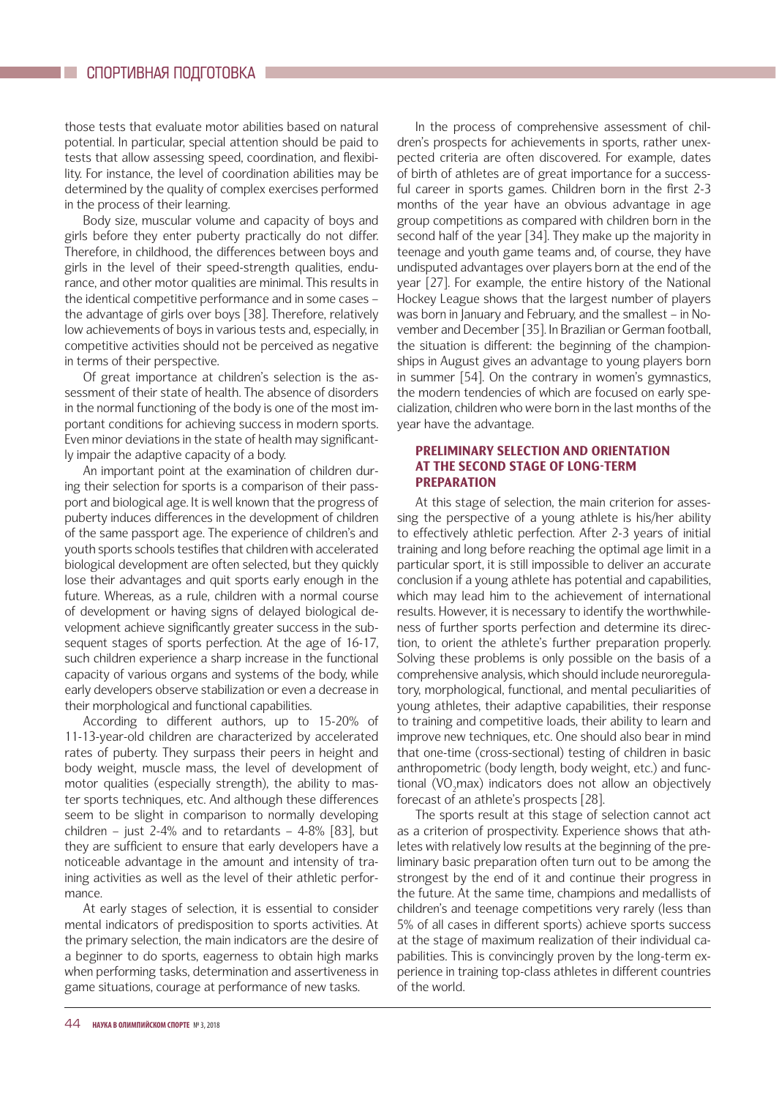those tests that evaluate motor abilities based on natural potential. In particular, special attention should be paid to tests that allow assessing speed, coordination, and flexibility. For instance, the level of coordination abilities may be determined by the quality of complex exercises performed in the process of their learning.

Body size, muscular volume and capacity of boys and girls before they enter puberty practically do not differ. Therefore, in childhood, the differences between boys and girls in the level of their speed-strength qualities, endurance, and other motor qualities are minimal. This results in the identical competitive performance and in some cases – the advantage of girls over boys [38]. Therefore, relatively low achievements of boys in various tests and, especially, in competitive activities should not be perceived as negative in terms of their perspective.

Of great importance at children's selection is the assessment of their state of health. The absence of disorders in the normal functioning of the body is one of the most important conditions for achieving success in modern sports. Even minor deviations in the state of health may significantly impair the adaptive capacity of a body.

An important point at the examination of children during their selection for sports is a comparison of their passport and biological age. It is well known that the progress of puberty induces differences in the development of children of the same passport age. The experience of children's and youth sports schools testifies that children with accelerated biological development are often selected, but they quickly lose their advantages and quit sports early enough in the future. Whereas, as a rule, children with a normal course of development or having signs of delayed biological development achieve significantly greater success in the subsequent stages of sports perfection. At the age of 16-17, such children experience a sharp increase in the functional capacity of various organs and systems of the body, while early developers observe stabilization or even a decrease in their morphological and functional capabilities.

According to different authors, up to 15-20% of 11-13-year-old children are characterized by accelerated rates of puberty. They surpass their peers in height and body weight, muscle mass, the level of development of motor qualities (especially strength), the ability to master sports techniques, etc. And although these differences seem to be slight in comparison to normally developing children – just 2-4% and to retardants –  $4-8\%$  [83], but they are sufficient to ensure that early developers have a noticeable advantage in the amount and intensity of training activities as well as the level of their athletic performance.

At early stages of selection, it is essential to consider mental indicators of predisposition to sports activities. At the primary selection, the main indicators are the desire of a beginner to do sports, eagerness to obtain high marks when performing tasks, determination and assertiveness in game situations, courage at performance of new tasks.

In the process of comprehensive assessment of children's prospects for achievements in sports, rather unexpected criteria are often discovered. For example, dates of birth of athletes are of great importance for a successful career in sports games. Children born in the first 2-3 months of the year have an obvious advantage in age group competitions as compared with children born in the second half of the year [34]. They make up the majority in teenage and youth game teams and, of course, they have undisputed advantages over players born at the end of the year [27]. For example, the entire history of the National Hockey League shows that the largest number of players was born in January and February, and the smallest – in November and December [35]. In Brazilian or German football, the situation is different: the beginning of the championships in August gives an advantage to young players born in summer [54]. On the contrary in women's gymnastics, the modern tendencies of which are focused on early specialization, children who were born in the last months of the year have the advantage.

## PRELIMINARY SELECTION AND ORIENTATION AT THE SECOND STAGE OF LONG-TERM PREPARATION

At this stage of selection, the main criterion for assessing the perspective of a young athlete is his/her ability to effectively athletic perfection. After 2-3 years of initial training and long before reaching the optimal age limit in a particular sport, it is still impossible to deliver an accurate conclusion if a young athlete has potential and capabilities, which may lead him to the achievement of international results. However, it is necessary to identify the worthwhileness of further sports perfection and determine its direction, to orient the athlete's further preparation properly. Solving these problems is only possible on the basis of a comprehensive analysis, which should include neuroregulatory, morphological, functional, and mental peculiarities of young athletes, their adaptive capabilities, their response to training and competitive loads, their ability to learn and improve new techniques, etc. One should also bear in mind that one-time (cross-sectional) testing of children in basic anthropometric (body length, body weight, etc.) and functional (VO<sub>2</sub>max) indicators does not allow an objectively forecast of an athlete's prospects [28].

The sports result at this stage of selection cannot act as a criterion of prospectivity. Experience shows that athletes with relatively low results at the beginning of the preliminary basic preparation often turn out to be among the strongest by the end of it and continue their progress in the future. At the same time, champions and medallists of children's and teenage competitions very rarely (less than 5% of all cases in different sports) achieve sports success at the stage of maximum realization of their individual capabilities. This is convincingly proven by the long-term experience in training top-class athletes in different countries of the world.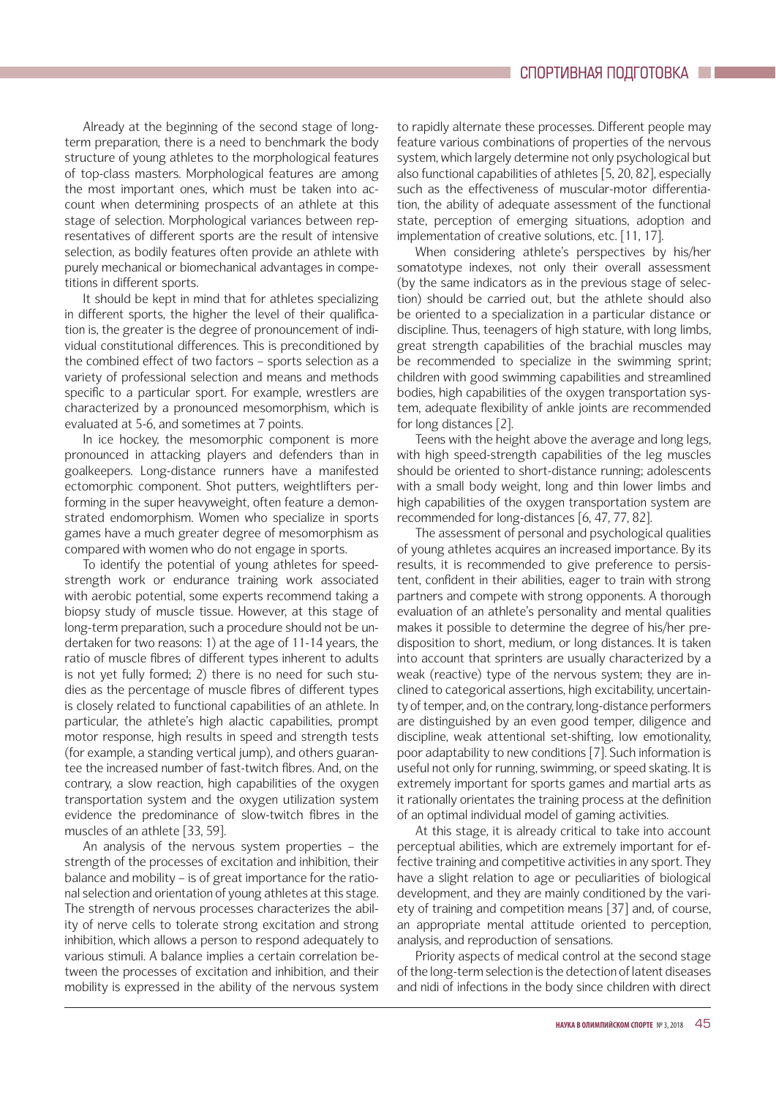Already at the beginning of the second stage of longterm preparation, there is a need to benchmark the body structure of young athletes to the morphological features of top-class masters. Morphological features are among the most important ones, which must be taken into account when determining prospects of an athlete at this stage of selection. Morphological variances between representatives of different sports are the result of intensive selection, as bodily features often provide an athlete with purely mechanical or biomechanical advantages in competitions in different sports.

It should be kept in mind that for athletes specializing in different sports, the higher the level of their qualification is, the greater is the degree of pronouncement of individual constitutional differences. This is preconditioned by the combined effect of two factors – sports selection as a variety of professional selection and means and methods specific to a particular sport. For example, wrestlers are characterized by a pronounced mesomorphism, which is evaluated at 5-6, and sometimes at 7 points.

In ice hockey, the mesomorphic component is more pronounced in attacking players and defenders than in goalkeepers. Long-distance runners have a manifested ectomorphic component. Shot putters, weightlifters performing in the super heavyweight, often feature a demonstrated endomorphism. Women who specialize in sports games have a much greater degree of mesomorphism as compared with women who do not engage in sports.

To identify the potential of young athletes for speedstrength work or endurance training work associated with aerobic potential, some experts recommend taking a biopsy study of muscle tissue. However, at this stage of long-term preparation, such a procedure should not be undertaken for two reasons: 1) at the age of 11-14 years, the ratio of muscle fibres of different types inherent to adults is not yet fully formed; 2) there is no need for such studies as the percentage of muscle fibres of different types is closely related to functional capabilities of an athlete. In particular, the athlete's high alactic capabilities, prompt motor response, high results in speed and strength tests (for example, a standing vertical jump), and others guarantee the increased number of fast-twitch fibres. And, on the contrary, a slow reaction, high capabilities of the oxygen transportation system and the oxygen utilization system evidence the predominance of slow-twitch fibres in the muscles of an athlete [33, 59].

An analysis of the nervous system properties – the strength of the processes of excitation and inhibition, their balance and mobility – is of great importance for the rational selection and orientation of young athletes at this stage. The strength of nervous processes characterizes the ability of nerve cells to tolerate strong excitation and strong inhibition, which allows a person to respond adequately to various stimuli. A balance implies a certain correlation between the processes of excitation and inhibition, and their mobility is expressed in the ability of the nervous system to rapidly alternate these processes. Different people may feature various combinations of properties of the nervous system, which largely determine not only psychological but also functional capabilities of athletes [5, 20, 82], especially such as the effectiveness of muscular-motor differentiation, the ability of adequate assessment of the functional state, perception of emerging situations, adoption and implementation of creative solutions, etc. [11, 17].

When considering athlete's perspectives by his/her somatotype indexes, not only their overall assessment (by the same indicators as in the previous stage of selection) should be carried out, but the athlete should also be oriented to a specialization in a particular distance or discipline. Thus, teenagers of high stature, with long limbs, great strength capabilities of the brachial muscles may be recommended to specialize in the swimming sprint; children with good swimming capabilities and streamlined bodies, high capabilities of the oxygen transportation system, adequate flexibility of ankle joints are recommended for long distances [2].

Teens with the height above the average and long legs, with high speed-strength capabilities of the leg muscles should be oriented to short-distance running; adolescents with a small body weight, long and thin lower limbs and high capabilities of the oxygen transportation system are recommended for long-distances [6, 47, 77, 82].

The assessment of personal and psychological qualities of young athletes acquires an increased importance. By its results, it is recommended to give preference to persistent, confident in their abilities, eager to train with strong partners and compete with strong opponents. A thorough evaluation of an athlete's personality and mental qualities makes it possible to determine the degree of his/her predisposition to short, medium, or long distances. It is taken into account that sprinters are usually characterized by a weak (reactive) type of the nervous system; they are inclined to categorical assertions, high excitability, uncertainty of temper, and, on the contrary, long-distance performers are distinguished by an even good temper, diligence and discipline, weak attentional set-shifting, low emotionality, poor adaptability to new conditions [7]. Such information is useful not only for running, swimming, or speed skating. It is extremely important for sports games and martial arts as it rationally orientates the training process at the definition of an optimal individual model of gaming activities.

At this stage, it is already critical to take into account perceptual abilities, which are extremely important for effective training and competitive activities in any sport. They have a slight relation to age or peculiarities of biological development, and they are mainly conditioned by the variety of training and competition means [37] and, of course, an appropriate mental attitude oriented to perception, analysis, and reproduction of sensations.

Priority aspects of medical control at the second stage of the long-term selection is the detection of latent diseases and nidi of infections in the body since children with direct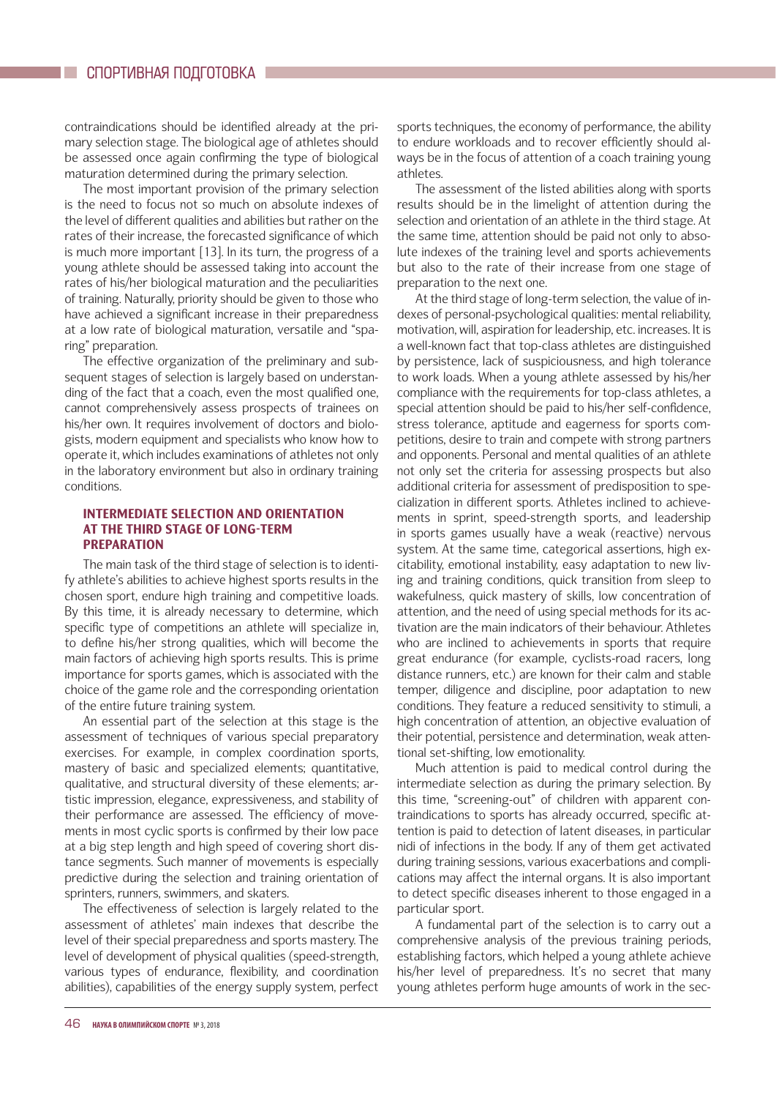contraindications should be identified already at the primary selection stage. The biological age of athletes should be assessed once again confirming the type of biological maturation determined during the primary selection.

The most important provision of the primary selection is the need to focus not so much on absolute indexes of the level of different qualities and abilities but rather on the rates of their increase, the forecasted significance of which is much more important [13]. In its turn, the progress of a young athlete should be assessed taking into account the rates of his/her biological maturation and the peculiarities of training. Naturally, priority should be given to those who have achieved a significant increase in their preparedness at a low rate of biological maturation, versatile and "sparing" preparation.

The effective organization of the preliminary and subsequent stages of selection is largely based on understanding of the fact that a coach, even the most qualified one, cannot comprehensively assess prospects of trainees on his/her own. It requires involvement of doctors and biologists, modern equipment and specialists who know how to operate it, which includes examinations of athletes not only in the laboratory environment but also in ordinary training conditions.

## INTERMEDIATE SELECTION AND ORIENTATION AT THE THIRD STAGE OF LONG-TERM PREPARATION

The main task of the third stage of selection is to identify athlete's abilities to achieve highest sports results in the chosen sport, endure high training and competitive loads. By this time, it is already necessary to determine, which specific type of competitions an athlete will specialize in, to define his/her strong qualities, which will become the main factors of achieving high sports results. This is prime importance for sports games, which is associated with the choice of the game role and the corresponding orientation of the entire future training system.

An essential part of the selection at this stage is the assessment of techniques of various special preparatory exercises. For example, in complex coordination sports, mastery of basic and specialized elements; quantitative, qualitative, and structural diversity of these elements; artistic impression, elegance, expressiveness, and stability of their performance are assessed. The efficiency of movements in most cyclic sports is confirmed by their low pace at a big step length and high speed of covering short distance segments. Such manner of movements is especially predictive during the selection and training orientation of sprinters, runners, swimmers, and skaters.

The effectiveness of selection is largely related to the assessment of athletes' main indexes that describe the level of their special preparedness and sports mastery. The level of development of physical qualities (speed-strength, various types of endurance, flexibility, and coordination abilities), capabilities of the energy supply system, perfect sports techniques, the economy of performance, the ability to endure workloads and to recover efficiently should always be in the focus of attention of a coach training young athletes.

The assessment of the listed abilities along with sports results should be in the limelight of attention during the selection and orientation of an athlete in the third stage. At the same time, attention should be paid not only to absolute indexes of the training level and sports achievements but also to the rate of their increase from one stage of preparation to the next one.

At the third stage of long-term selection, the value of indexes of personal-psychological qualities: mental reliability, motivation, will, aspiration for leadership, etc. increases. It is a well-known fact that top-class athletes are distinguished by persistence, lack of suspiciousness, and high tolerance to work loads. When a young athlete assessed by his/her compliance with the requirements for top-class athletes, a special attention should be paid to his/her self-confidence, stress tolerance, aptitude and eagerness for sports competitions, desire to train and compete with strong partners and opponents. Personal and mental qualities of an athlete not only set the criteria for assessing prospects but also additional criteria for assessment of predisposition to specialization in different sports. Athletes inclined to achievements in sprint, speed-strength sports, and leadership in sports games usually have a weak (reactive) nervous system. At the same time, categorical assertions, high excitability, emotional instability, easy adaptation to new living and training conditions, quick transition from sleep to wakefulness, quick mastery of skills, low concentration of attention, and the need of using special methods for its activation are the main indicators of their behaviour. Athletes who are inclined to achievements in sports that require great endurance (for example, cyclists-road racers, long distance runners, etc.) are known for their calm and stable temper, diligence and discipline, poor adaptation to new conditions. They feature a reduced sensitivity to stimuli, a high concentration of attention, an objective evaluation of their potential, persistence and determination, weak attentional set-shifting, low emotionality.

Much attention is paid to medical control during the intermediate selection as during the primary selection. By this time, "screening-out" of children with apparent contraindications to sports has already occurred, specific attention is paid to detection of latent diseases, in particular nidi of infections in the body. If any of them get activated during training sessions, various exacerbations and complications may affect the internal organs. It is also important to detect specific diseases inherent to those engaged in a particular sport.

A fundamental part of the selection is to carry out a comprehensive analysis of the previous training periods, establishing factors, which helped a young athlete achieve his/her level of preparedness. It's no secret that many young athletes perform huge amounts of work in the sec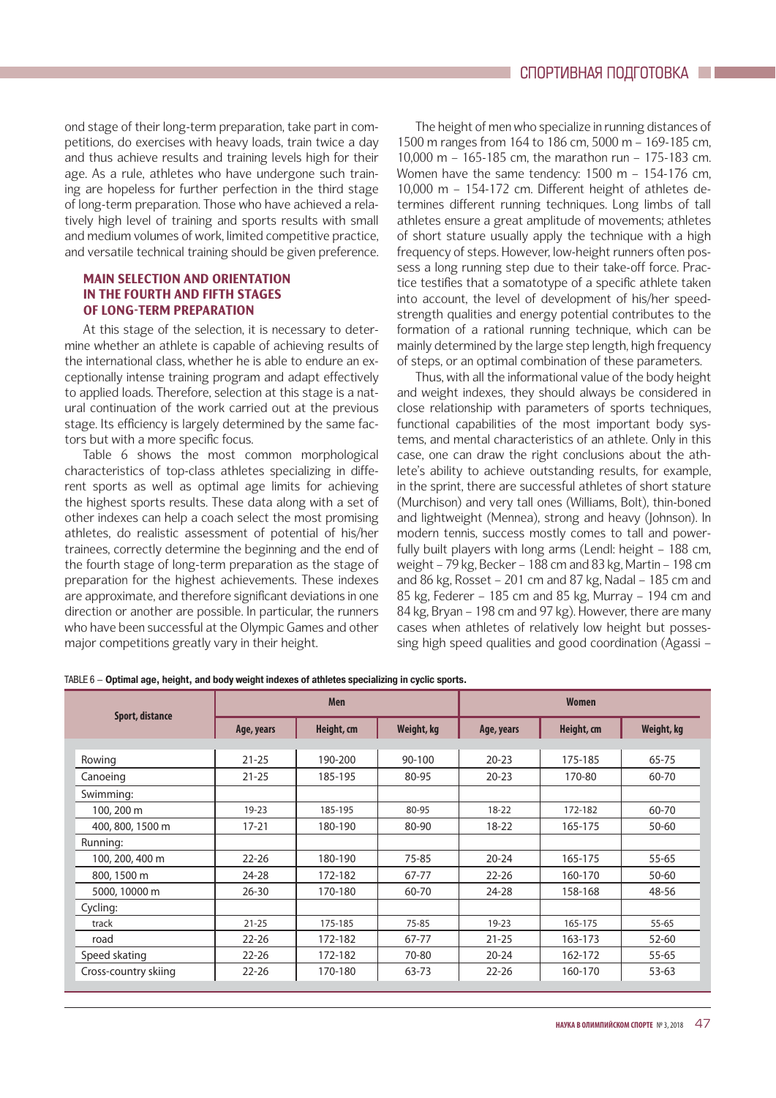ond stage of their long-term preparation, take part in competitions, do exercises with heavy loads, train twice a day and thus achieve results and training levels high for their age. As a rule, athletes who have undergone such training are hopeless for further perfection in the third stage of long-term preparation. Those who have achieved a relatively high level of training and sports results with small and medium volumes of work, limited competitive practice, and versatile technical training should be given preference.

## MAIN SELECTION AND ORIENTATION IN THE FOURTH AND FIFTH STAGES OF LONG-TERM PREPARATION

At this stage of the selection, it is necessary to determine whether an athlete is capable of achieving results of the international class, whether he is able to endure an exceptionally intense training program and adapt effectively to applied loads. Therefore, selection at this stage is a natural continuation of the work carried out at the previous stage. Its efficiency is largely determined by the same factors but with a more specific focus.

Table 6 shows the most common morphological characteristics of top-class athletes specializing in different sports as well as optimal age limits for achieving the highest sports results. These data along with a set of other indexes can help a coach select the most promising athletes, do realistic assessment of potential of his/her trainees, correctly determine the beginning and the end of the fourth stage of long-term preparation as the stage of preparation for the highest achievements. These indexes are approximate, and therefore significant deviations in one direction or another are possible. In particular, the runners who have been successful at the Olympic Games and other major competitions greatly vary in their height.

The height of men who specialize in running distances of 1500 m ranges from 164 to 186 cm, 5000 m – 169-185 cm, 10,000 m – 165-185 cm, the marathon run – 175-183 cm. Women have the same tendency: 1500 m – 154-176 cm, 10,000 m – 154-172 cm. Different height of athletes determines different running techniques. Long limbs of tall athletes ensure a great amplitude of movements; athletes of short stature usually apply the technique with a high frequency of steps. However, low-height runners often possess a long running step due to their take-off force. Practice testifies that a somatotype of a specific athlete taken into account, the level of development of his/her speedstrength qualities and energy potential contributes to the formation of a rational running technique, which can be mainly determined by the large step length, high frequency of steps, or an optimal combination of these parameters.

Thus, with all the informational value of the body height and weight indexes, they should always be considered in close relationship with parameters of sports techniques, functional capabilities of the most important body systems, and mental characteristics of an athlete. Only in this case, one can draw the right conclusions about the athlete's ability to achieve outstanding results, for example, in the sprint, there are successful athletes of short stature (Murchison) and very tall ones (Williams, Bolt), thin-boned and lightweight (Mennea), strong and heavy (Johnson). In modern tennis, success mostly comes to tall and powerfully built players with long arms (Lendl: height – 188 cm, weight – 79 kg, Becker – 188 cm and 83 kg, Martin – 198 cm and 86 kg, Rosset – 201 cm and 87 kg, Nadal – 185 cm and 85 kg, Federer – 185 cm and 85 kg, Murray – 194 cm and 84 kg, Bryan – 198 cm and 97 kg). However, there are many cases when athletes of relatively low height but possessing high speed qualities and good coordination (Agassi –

| Sport, distance      | <b>Men</b> |            | <b>Women</b> |            |            |            |
|----------------------|------------|------------|--------------|------------|------------|------------|
|                      | Age, years | Height, cm | Weight, kg   | Age, years | Height, cm | Weight, kg |
|                      |            |            |              |            |            |            |
| Rowing               | $21 - 25$  | 190-200    | 90-100       | $20 - 23$  | 175-185    | 65-75      |
| Canoeing             | $21 - 25$  | 185-195    | 80-95        | $20 - 23$  | 170-80     | 60-70      |
| Swimming:            |            |            |              |            |            |            |
| 100, 200 m           | $19 - 23$  | 185-195    | 80-95        | $18 - 22$  | 172-182    | 60-70      |
| 400, 800, 1500 m     | $17 - 21$  | 180-190    | 80-90        | $18 - 22$  | 165-175    | 50-60      |
| Running:             |            |            |              |            |            |            |
| 100, 200, 400 m      | $22 - 26$  | 180-190    | $75 - 85$    | $20 - 24$  | 165-175    | 55-65      |
| 800, 1500 m          | 24-28      | 172-182    | 67-77        | $22 - 26$  | 160-170    | 50-60      |
| 5000, 10000 m        | $26 - 30$  | 170-180    | 60-70        | 24-28      | 158-168    | 48-56      |
| Cycling:             |            |            |              |            |            |            |
| track                | $21 - 25$  | 175-185    | $75 - 85$    | $19 - 23$  | 165-175    | $55 - 65$  |
| road                 | $22 - 26$  | 172-182    | 67-77        | $21 - 25$  | 163-173    | $52 - 60$  |
| Speed skating        | $22 - 26$  | 172-182    | 70-80        | $20 - 24$  | 162-172    | $55 - 65$  |
| Cross-country skiing | $22 - 26$  | 170-180    | 63-73        | $22 - 26$  | 160-170    | $53 - 63$  |

TABLE 6 – **Optimal age, height, and body weight indexes of athletes specializing in cyclic sports.**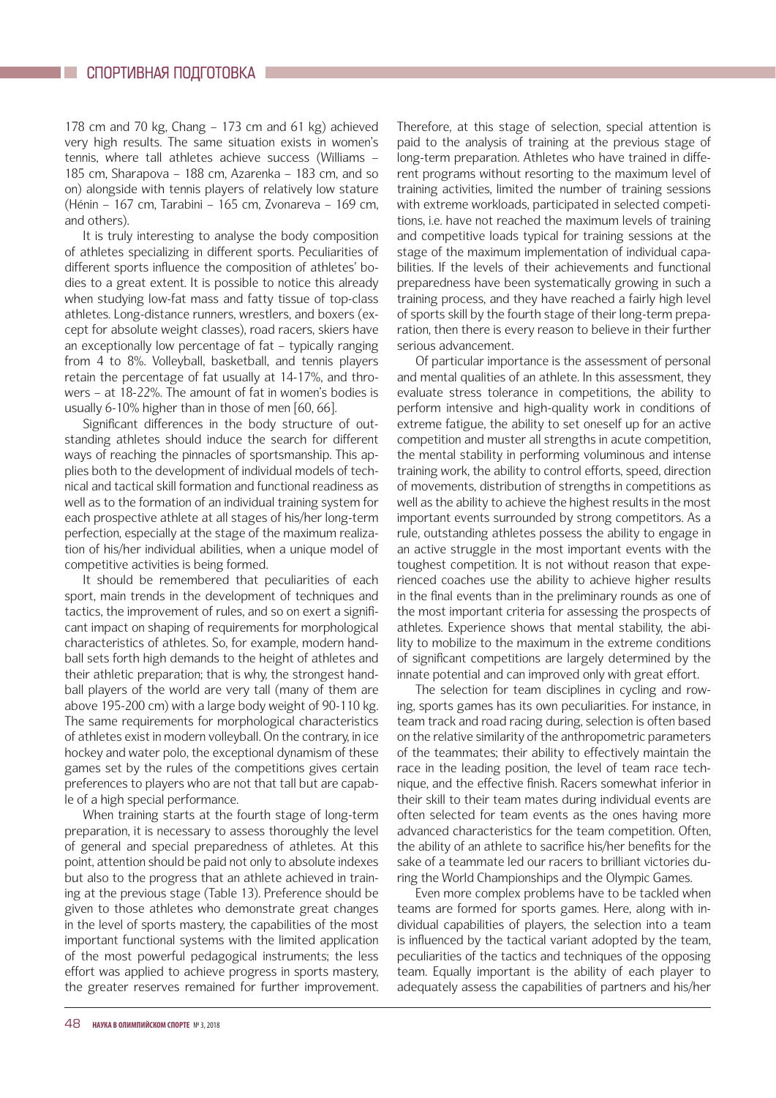178 cm and 70 kg, Chang – 173 cm and 61 kg) achieved very high results. The same situation exists in women's tennis, where tall athletes achieve success (Williams – 185 cm, Sharapova – 188 cm, Azarenka – 183 cm, and so on) alongside with tennis players of relatively low stature (Hénin – 167 cm, Tarabini – 165 cm, Zvonareva – 169 cm, and others).

It is truly interesting to analyse the body composition of athletes specializing in different sports. Peculiarities of different sports influence the composition of athletes' bodies to a great extent. It is possible to notice this already when studying low-fat mass and fatty tissue of top-class athletes. Long-distance runners, wrestlers, and boxers (except for absolute weight classes), road racers, skiers have an exceptionally low percentage of fat – typically ranging from 4 to 8%. Volleyball, basketball, and tennis players retain the percentage of fat usually at 14-17%, and throwers – at 18-22%. The amount of fat in women's bodies is usually 6-10% higher than in those of men [60, 66].

Significant differences in the body structure of outstanding athletes should induce the search for different ways of reaching the pinnacles of sportsmanship. This applies both to the development of individual models of technical and tactical skill formation and functional readiness as well as to the formation of an individual training system for each prospective athlete at all stages of his/her long-term perfection, especially at the stage of the maximum realization of his/her individual abilities, when a unique model of competitive activities is being formed.

It should be remembered that peculiarities of each sport, main trends in the development of techniques and tactics, the improvement of rules, and so on exert a significant impact on shaping of requirements for morphological characteristics of athletes. So, for example, modern handball sets forth high demands to the height of athletes and their athletic preparation; that is why, the strongest handball players of the world are very tall (many of them are above 195-200 cm) with a large body weight of 90-110 kg. The same requirements for morphological characteristics of athletes exist in modern volleyball. On the contrary, in ice hockey and water polo, the exceptional dynamism of these games set by the rules of the competitions gives certain preferences to players who are not that tall but are capable of a high special performance.

When training starts at the fourth stage of long-term preparation, it is necessary to assess thoroughly the level of general and special preparedness of athletes. At this point, attention should be paid not only to absolute indexes but also to the progress that an athlete achieved in training at the previous stage (Table 13). Preference should be given to those athletes who demonstrate great changes in the level of sports mastery, the capabilities of the most important functional systems with the limited application of the most powerful pedagogical instruments; the less effort was applied to achieve progress in sports mastery, the greater reserves remained for further improvement. Therefore, at this stage of selection, special attention is paid to the analysis of training at the previous stage of long-term preparation. Athletes who have trained in different programs without resorting to the maximum level of training activities, limited the number of training sessions with extreme workloads, participated in selected competitions, i.e. have not reached the maximum levels of training and competitive loads typical for training sessions at the stage of the maximum implementation of individual capabilities. If the levels of their achievements and functional preparedness have been systematically growing in such a training process, and they have reached a fairly high level of sports skill by the fourth stage of their long-term preparation, then there is every reason to believe in their further serious advancement.

Of particular importance is the assessment of personal and mental qualities of an athlete. In this assessment, they evaluate stress tolerance in competitions, the ability to perform intensive and high-quality work in conditions of extreme fatigue, the ability to set oneself up for an active competition and muster all strengths in acute competition, the mental stability in performing voluminous and intense training work, the ability to control efforts, speed, direction of movements, distribution of strengths in competitions as well as the ability to achieve the highest results in the most important events surrounded by strong competitors. As a rule, outstanding athletes possess the ability to engage in an active struggle in the most important events with the toughest competition. It is not without reason that experienced coaches use the ability to achieve higher results in the final events than in the preliminary rounds as one of the most important criteria for assessing the prospects of athletes. Experience shows that mental stability, the ability to mobilize to the maximum in the extreme conditions of significant competitions are largely determined by the innate potential and can improved only with great effort.

The selection for team disciplines in cycling and rowing, sports games has its own peculiarities. For instance, in team track and road racing during, selection is often based on the relative similarity of the anthropometric parameters of the teammates; their ability to effectively maintain the race in the leading position, the level of team race technique, and the effective finish. Racers somewhat inferior in their skill to their team mates during individual events are often selected for team events as the ones having more advanced characteristics for the team competition. Often, the ability of an athlete to sacrifice his/her benefits for the sake of a teammate led our racers to brilliant victories during the World Championships and the Olympic Games.

Even more complex problems have to be tackled when teams are formed for sports games. Here, along with individual capabilities of players, the selection into a team is influenced by the tactical variant adopted by the team, peculiarities of the tactics and techniques of the opposing team. Equally important is the ability of each player to ade quately assess the capabilities of partners and his/her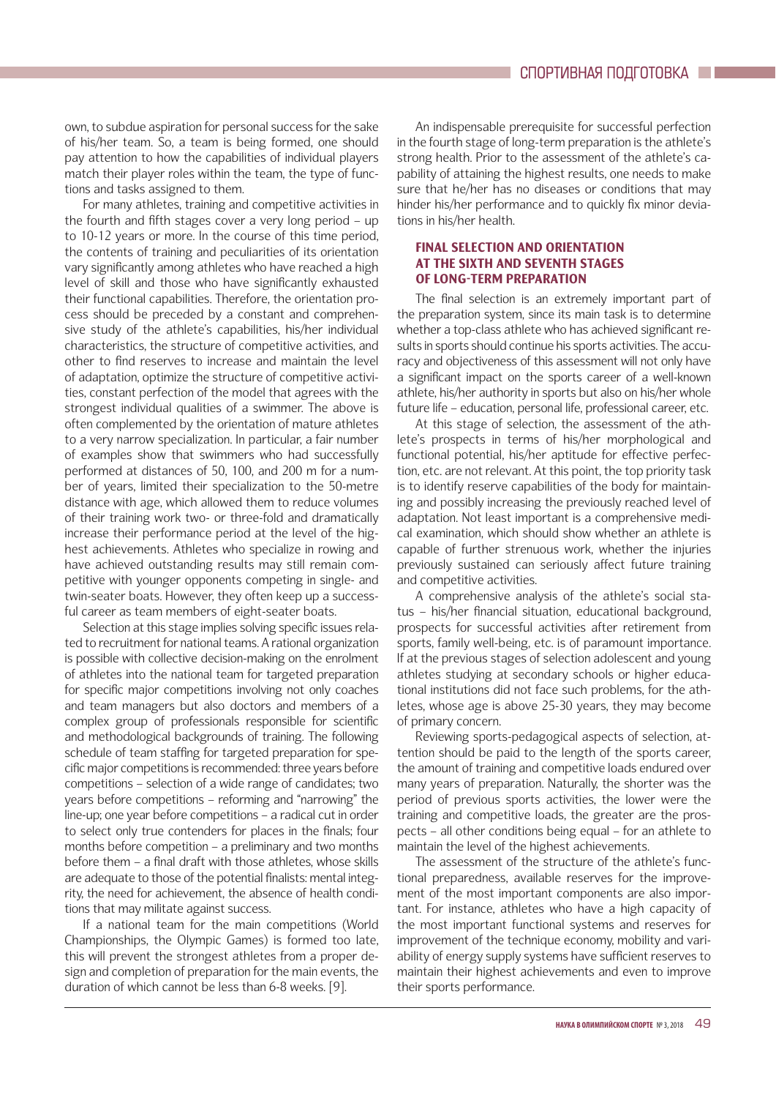own, to subdue aspiration for personal success for the sake of his/her team. So, a team is being formed, one should pay attention to how the capabilities of individual players match their player roles within the team, the type of functions and tasks assigned to them.

For many athletes, training and competitive activities in the fourth and fifth stages cover a very long period  $-$  up to 10-12 years or more. In the course of this time period, the contents of training and peculiarities of its orientation vary significantly among athletes who have reached a high level of skill and those who have significantly exhausted their functional capabilities. Therefore, the orientation process should be preceded by a constant and comprehensive study of the athlete's capabilities, his/her individual characteristics, the structure of competitive activities, and other to find reserves to increase and maintain the level of adaptation, optimize the structure of competitive activities, constant perfection of the model that agrees with the strongest individual qualities of a swimmer. The above is often complemented by the orientation of mature athletes to a very narrow specialization. In particular, a fair number of examples show that swimmers who had successfully performed at distances of 50, 100, and 200 m for a number of years, limited their specialization to the 50-metre distance with age, which allowed them to reduce volumes of their training work two- or three-fold and dramatically increase their performance period at the level of the highest achievements. Athletes who specialize in rowing and have achieved outstanding results may still remain competitive with younger opponents competing in single- and twin-seater boats. However, they often keep up a successful career as team members of eight-seater boats.

Selection at this stage implies solving specific issues related to recruitment for national teams. A rational organization is possible with collective decision-making on the enrolment of athletes into the national team for targeted preparation for specific major competitions involving not only coaches and team managers but also doctors and members of a complex group of professionals responsible for scientific and methodological backgrounds of training. The following schedule of team staffing for targeted preparation for specific major competitions is recommended: three years before competitions – selection of a wide range of candidates; two years before competitions – reforming and "narrowing" the line-up; one year before competitions – a radical cut in order to select only true contenders for places in the finals; four months before competition – a preliminary and two months before them - a final draft with those athletes, whose skills are adequate to those of the potential finalists: mental integrity, the need for achievement, the absence of health conditions that may militate against success.

If a national team for the main competitions (World Championships, the Olympic Games) is formed too late, this will prevent the strongest athletes from a proper design and completion of preparation for the main events, the duration of which cannot be less than 6-8 weeks. [9].

An indispensable prerequisite for successful perfection in the fourth stage of long-term preparation is the athlete's strong health. Prior to the assessment of the athlete's capability of attaining the highest results, one needs to make sure that he/her has no diseases or conditions that may hinder his/her performance and to quickly fix minor deviations in his/her health.

## FINAL SELECTION AND ORIENTATION AT THE SIXTH AND SEVENTH STAGES OF LONG-TERM PREPARATION

The final selection is an extremely important part of the preparation system, since its main task is to determine whether a top-class athlete who has achieved significant results in sports should continue his sports activities. The accuracy and objectiveness of this assessment will not only have a significant impact on the sports career of a well-known athlete, his/her authority in sports but also on his/her whole future life – education, personal life, professional career, etc.

At this stage of selection, the assessment of the athlete's prospects in terms of his/her morphological and functional potential, his/her aptitude for effective perfection, etc. are not relevant. At this point, the top priority task is to identify reserve capabilities of the body for maintaining and possibly increasing the previously reached level of adaptation. Not least important is a comprehensive medical examination, which should show whether an athlete is capable of further strenuous work, whether the injuries previously sustained can seriously affect future training and competitive activities.

A comprehensive analysis of the athlete's social status - his/her financial situation, educational background, prospects for successful activities after retirement from sports, family well-being, etc. is of paramount importance. If at the previous stages of selection adolescent and young athletes studying at secondary schools or higher educational institutions did not face such problems, for the athletes, whose age is above 25-30 years, they may become of primary concern.

Reviewing sports-pedagogical aspects of selection, attention should be paid to the length of the sports career, the amount of training and competitive loads endured over many years of preparation. Naturally, the shorter was the period of previous sports activities, the lower were the training and competitive loads, the greater are the prospects – all other conditions being equal – for an athlete to maintain the level of the highest achievements.

The assessment of the structure of the athlete's functional preparedness, available reserves for the improvement of the most important components are also important. For instance, athletes who have a high capacity of the most important functional systems and reserves for improvement of the technique economy, mobility and variability of energy supply systems have sufficient reserves to maintain their highest achievements and even to improve their sports performance.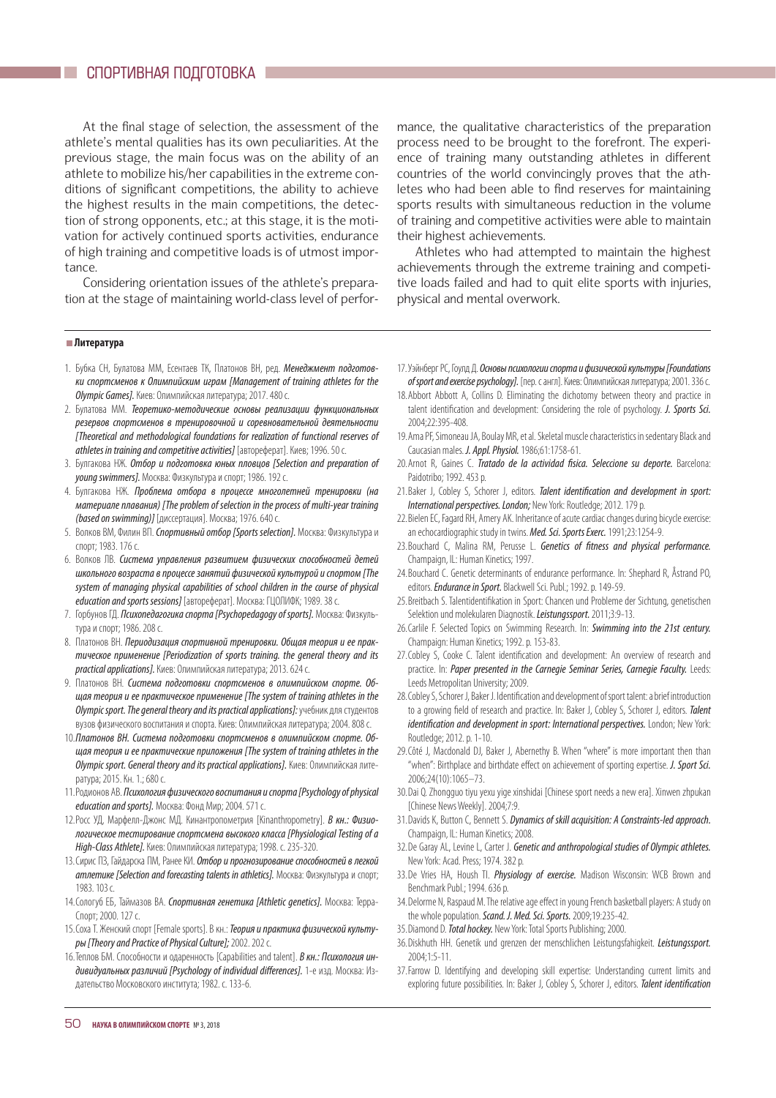At the final stage of selection, the assessment of the athlete's mental qualities has its own peculiarities. At the previous stage, the main focus was on the ability of an athlete to mobilize his/her capabilities in the extreme conditions of significant competitions, the ability to achieve the highest results in the main competitions, the detection of strong opponents, etc.; at this stage, it is the motivation for actively continued sports activities, endurance of high training and competitive loads is of utmost importance.

Considering orientation issues of the athlete's preparation at the stage of maintaining world-class level of performance, the qualitative characteristics of the preparation process need to be brought to the forefront. The experience of training many outstanding athletes in different countries of the world convincingly proves that the athletes who had been able to find reserves for maintaining sports results with simultaneous reduction in the volume of training and competitive activities were able to maintain their highest achievements.

Athletes who had attempted to maintain the highest achievements through the extreme training and competitive loads failed and had to quit elite sports with injuries, physical and mental overwork.

#### **Литература**

- 1. Бубка СН, Булатова ММ, Есентаев ТК, Платонов ВН, ред. Менеджмент подготовки спортсменов к Олимпийским играм [Management of training athletes for the Olympic Games]. Киев: Олимпийская литература; 2017. 480 с.
- 2. Булатова ММ. Теоретико-методические основы реализации функциональных резервов спортсменов в тренировочной и соревновательной деятельности [Theoretical and methodological foundations for realization of functional reserves of athletes in training and competitive activities] [автореферат]. Киев; 1996. 50 с.
- 3. Булгакова НЖ. Отбор и подготовка юных пловцов [Selection and preparation of young swimmers]. Москва: Физкультура и спорт; 1986. 192 с.
- 4. Булгакова НЖ. Проблема отбора в процессе многолетней тренировки (на материале плавания) [The problem of selection in the process of multi-year training (based on swimming)] [диссертация]. Москва; 1976. 640 с.
- 5. Волков ВМ, Филин ВП. Спортивный отбор [Sports selection]. Москва: Физкультура и спорт; 1983. 176 с.
- 6. Волков ЛВ. Система управления развитием физических способностей детей школьного возраста в процессе занятий физической культурой и спортом [The system of managing physical capabilities of school children in the course of physical education and sports sessions / [автореферат]. Москва: ГЦОЛИФК; 1989, 38 с.
- 7. Горбунов ГД. Психопедагогика спорта [Psychopedagogy of sports]. Москва: Физкультура и спорт; 1986. 208 с.
- 8. Платонов ВН. Периодизация спортивной тренировки. Общая теория и ее практическое применение [Periodization of sports training. the general theory and its practical applications]. Киев: Олимпийская литература; 2013. 624 c.
- 9. Платонов ВН. Система подготовки спортсменов в олимпийском спорте. Общая теория и ее практическое применение [The system of training athletes in the Olympic sport. The general theory and its practical applications]: учебник для студентов вузов физического воспитания и спорта. Киев: Олимпийская литература; 2004. 808 с.
- 10. Платонов ВН. Система подготовки спортсменов в олимпийском спорте. Общая теория и ее практические приложения [The system of training athletes in the Olympic sport. General theory and its practical applications]. Киев: Олимпийская литература; 2015. Кн. 1.; 680 с.
- 11. Родионов АВ. Психология физического воспитания и спорта [Psychology of physical education and sports]. Москва: Фонд Мир; 2004. 571 с.
- 12. Росс УД, Марфелл-Джонс МД. Кинантропометрия [Kinanthropometry]. В кн.: Физиологическое тестирование спортсмена высокого класса [Physiological Testing of a High-Class Athlete]. Киев: Олимпийская литература; 1998. с. 235-320.
- 13. Сирис ПЗ, Гайдарска ПМ, Ранее КИ. Отбор и прогнозирование способностей в легкой атлетике [Selection and forecasting talents in athletics]. Москва: Физкультура и спорт; 1983. 103 с.
- 14. Сологуб ЕБ, Таймазов ВА. Спортивная генетика [Athletic genetics]. Москва: Терра-Спорт; 2000. 127 с.
- 15. Соха Т. Женский спорт [Female sports]. В кн.: Теория и практика физической культуры [Theory and Practice of Physical Culture]; 2002. 202 с.
- 16. Теплов БМ. Способности и одаренность [Capabilities and talent]. В кн.: Психология индивидуальных различий [Psychology of individual differences]. 1-е изд. Москва: Издательство Московского института; 1982. с. 133-6.
- 17. Уэйнберг РС, Гоулд Д. Основы психологии спорта и физической культуры [Foundations of sport and exercise psychology]. [пер. с англ]. Киев: Олимпийская литература; 2001. 336 с.
- 18. Abbort Abbott A, Collins D. Eliminating the dichotomy between theory and practice in talent identification and development: Considering the role of psychology. J. Sports Sci. 2004;22:395-408.
- 19. Ama PF, Simoneau JA, Boulay MR, et al. Skeletal muscle characteristics in sedentary Black and Caucasian males. J. Appl. Physiol. 1986;61:1758-61.
- 20. Arnot R, Gaines C. Tratado de la actividad fisica. Seleccione su deporte. Barcelona: Paidotribo; 1992. 453 p.
- 21. Baker J, Cobley S, Schorer J, editors. Talent identification and development in sport: International perspectives. London; New York: Routledge; 2012. 179 p.
- 22. Bielen EC, Fagard RH, Amery AK. Inheritance of acute cardiac changes during bicycle exercise: an echocardiographic study in twins. Med. Sci. Sports Exerc. 1991;23:1254-9.
- 23. Bouchard C, Malina RM, Perusse L. Genetics of fitness and physical performance. Champaign, IL: Human Kinetics; 1997.
- 24. Bouchard С. Genetic determinants of endurance performance. In: Shephard R, Åstrand PO, editors. Endurance in Sport. Blackwell Sci. Publ.; 1992. p. 149-59.
- 25. Breitbach S. Talentidentifikation in Sport: Chancen und Probleme der Sichtung, genetischen Selektion und molekularen Diagnostik. Leistungssport. 2011;3:9-13.
- 26. Carlile F. Selected Topics on Swimming Research. In: Swimming into the 21st century. Champaign: Human Kinetics; 1992. p. 153-83.
- 27. Cobley S. Cooke C. Talent identification and development: An overview of research and practice. In: Paper presented in the Carnegie Seminar Series, Carnegie Faculty. Leeds: Leeds Metropolitan University; 2009.
- 28. Cobley S, Schorer J, Baker J. Identification and development of sport talent: a brief introduction to a growing field of research and practice. In: Baker J, Cobley S, Schorer J, editors. Talent identification and development in sport: International perspectives. London: New York: Routledge; 2012. p. 1-10.
- 29. Côté J, Macdonald DJ, Baker J, Abernethy B. When "where" is more important then than "when": Birthplace and birthdate effect on achievement of sporting expertise. *J. Sport Sci.* 2006;24(10):1065–73.
- 30. Dai Q. Zhongguo tiyu yexu yige xinshidai [Chinese sport needs a new era]. Xinwen zhpukan [Chinese News Weekly]. 2004;7:9.
- 31. Davids K, Button C, Bennett S. Dynamics of skill acquisition: A Constraints-led approach. Champaign, IL: Human Kinetics; 2008.
- 32. De Garay AL, Levine L, Carter J. Genetic and anthropological studies of Olympic athletes. New York: Acad. Press; 1974. 382 p.
- 33. De Vries HA, Housh Tl. Physiology of exercise. Madison Wisconsin: WCB Brown and Benchmark Publ.; 1994. 636 p.
- 34. Delorme N, Raspaud M. The relative age effect in young French basketball players: A study on the whole population. Scand. J. Med. Sci. Sports. 2009;19:235-42.
- 35. Diamond D. Total hockey. New York: Total Sports Publishing; 2000.
- 36. Diskhuth HH. Genetik und grenzen der menschlichen Leistungsfahigkeit. Leistungssport. 2004;1:5-11.
- 37. Farrow D. Identifying and developing skill expertise: Understanding current limits and exploring future possibilities. In: Baker J, Cobley S, Schorer J, editors. Talent identification